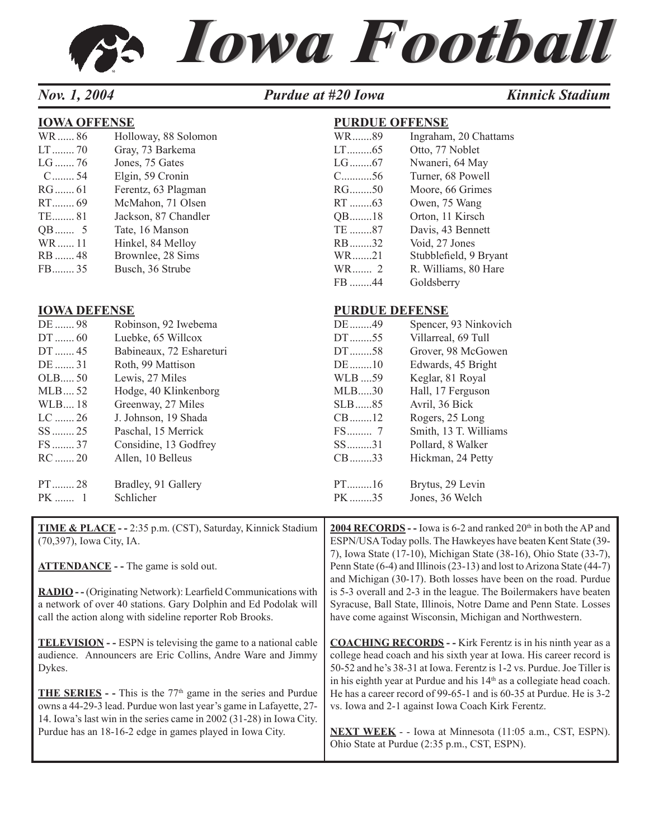# *Iowa Football Iowa Football*

#### *Nov.* 1, 2004 **Purdue at #20 Iowa** *Kinnick Stadium*

FB ........44 Goldsberry

| <b>IOWA OFFENSE</b> |                      | <b>PURDUE OFFENSE</b> |                        |
|---------------------|----------------------|-----------------------|------------------------|
| WR86                | Holloway, 88 Solomon | WR89                  | Ingraham, 20 Chattams  |
|                     | Gray, 73 Barkema     |                       | Otto, 77 Noblet        |
| $LG$ 76             | Jones, 75 Gates      |                       | Nwaneri, 64 May        |
| $C$ 54              | Elgin, 59 Cronin     | $C_{\dots 56}$        | Turner, 68 Powell      |
|                     | Ferentz, 63 Plagman  | $RG$ 50               | Moore, 66 Grimes       |
|                     | McMahon, 71 Olsen    |                       | Owen, 75 Wang          |
|                     | Jackson, 87 Chandler | $QB$ 18               | Orton, 11 Kirsch       |
| $QB$ 5              | Tate, 16 Manson      | TE 87                 | Davis, 43 Bennett      |
| WR 11               | Hinkel, 84 Melloy    | $RB$ 32               | Void, 27 Jones         |
| RB  48              | Brownlee, 28 Sims    | WR21                  | Stubblefield, 9 Bryant |
| $FB$ 35             | Busch, 36 Strube     | $WR$ 2                | R. Williams, 80 Hare   |

#### **IOWA DEFENSE PURDUE DEFENSE**

| DE  98    | Robinson, 92 Iwebema     | DE49     | Spencer, 93 Ninkovich |
|-----------|--------------------------|----------|-----------------------|
| $DT$ 60   | Luebke, 65 Willcox       | $DT$ 55  | Villarreal, 69 Tull   |
| $DT$ 45   | Babineaux, 72 Eshareturi | $DT$ 58  | Grover, 98 McGowen    |
| DE  31    | Roth, 99 Mattison        | $DE$ 10  | Edwards, 45 Bright    |
| $OLEB$ 50 | Lewis, 27 Miles          | WLB 59   | Keglar, 81 Royal      |
| $MLB$ 52  | Hodge, 40 Klinkenborg    | MLB30    | Hall, 17 Ferguson     |
| WLB18     | Greenway, 27 Miles       | $SLB$ 85 | Avril, 36 Bick        |
| $LC$ 26   | J. Johnson, 19 Shada     | $CB$ 12  | Rogers, 25 Long       |
| $SS$ 25   | Paschal, 15 Merrick      |          | Smith, 13 T. Williams |
| $FS$ 37   | Considine, 13 Godfrey    | $SS$ 31  | Pollard, 8 Walker     |
| $RC$ 20   | Allen, 10 Belleus        | $CB$ 33  | Hickman, 24 Petty     |
| $PT$ 28   | Bradley, 91 Gallery      | $PT$ 16  | Brytus, 29 Levin      |
| $PK$ 1    | Schlicher                | PK35     | Jones, 36 Welch       |

| <b>TIME &amp; PLACE</b> - - 2:35 p.m. (CST), Saturday, Kinnick Stadium<br>(70,397), Iowa City, IA.                                                                                                                 | <b>2004 RECORDS</b> - Iowa is 6-2 and ranked $20th$ in both the AP and<br>ESPN/USA Today polls. The Hawkeyes have beaten Kent State (39-<br>7), Iowa State (17-10), Michigan State (38-16), Ohio State (33-7),                                                                                           |
|--------------------------------------------------------------------------------------------------------------------------------------------------------------------------------------------------------------------|----------------------------------------------------------------------------------------------------------------------------------------------------------------------------------------------------------------------------------------------------------------------------------------------------------|
| $ATTENDANCE - The game is sold out.$                                                                                                                                                                               | Penn State (6-4) and Illinois (23-13) and lost to Arizona State (44-7)<br>and Michigan (30-17). Both losses have been on the road. Purdue                                                                                                                                                                |
| <b>RADIO</b> - - (Originating Network): Learfield Communications with<br>a network of over 40 stations. Gary Dolphin and Ed Podolak will                                                                           | is 5-3 overall and 2-3 in the league. The Boilermakers have beaten<br>Syracuse, Ball State, Illinois, Notre Dame and Penn State. Losses                                                                                                                                                                  |
| call the action along with sideline reporter Rob Brooks.                                                                                                                                                           | have come against Wisconsin, Michigan and Northwestern.                                                                                                                                                                                                                                                  |
| <b>TELEVISION</b> - - ESPN is televising the game to a national cable<br>audience. Announcers are Eric Collins, Andre Ware and Jimmy<br>Dykes.                                                                     | <b>COACHING RECORDS</b> - - Kirk Ferentz is in his ninth year as a<br>college head coach and his sixth year at Iowa. His career record is<br>50-52 and he's 38-31 at Iowa. Ferentz is 1-2 vs. Purdue. Joe Tiller is<br>in his eighth year at Purdue and his 14 <sup>th</sup> as a collegiate head coach. |
| <b>THE SERIES</b> - This is the $77th$ game in the series and Purdue<br>owns a 44-29-3 lead. Purdue won last year's game in Lafayette, 27-<br>14. Iowa's last win in the series came in 2002 (31-28) in Iowa City. | He has a career record of 99-65-1 and is 60-35 at Purdue. He is 3-2<br>vs. Iowa and 2-1 against Iowa Coach Kirk Ferentz.                                                                                                                                                                                 |
| Purdue has an 18-16-2 edge in games played in Iowa City.                                                                                                                                                           | <b>NEXT WEEK</b> - - Iowa at Minnesota (11:05 a.m., CST, ESPN).<br>Ohio State at Purdue (2:35 p.m., CST, ESPN).                                                                                                                                                                                          |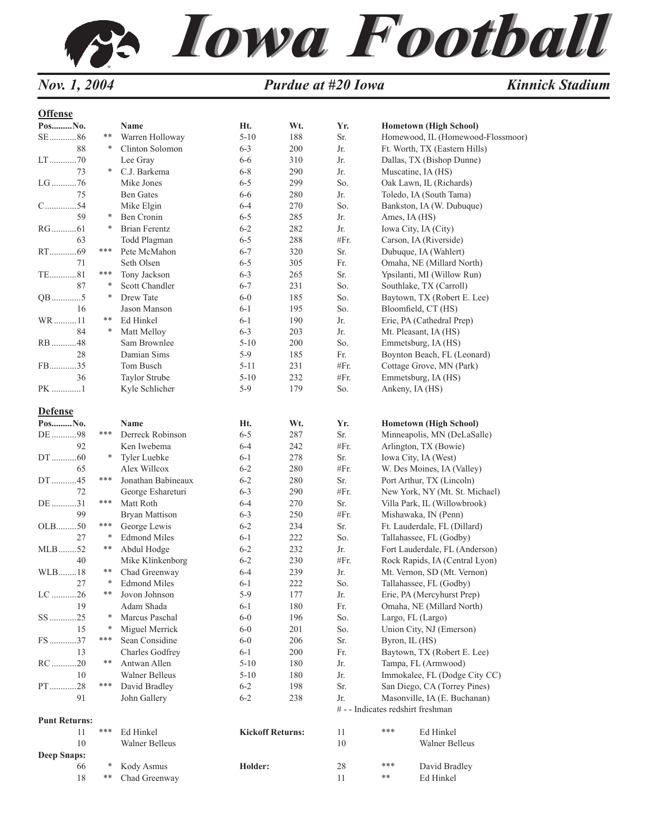

| П<br>en |
|---------|
|         |

| Wt.<br>Yr.<br>PosNo.<br>Ht.<br>Name<br>$\text{SE}$ 86<br>**<br>Warren Holloway<br>$5 - 10$<br>188<br>Sr.<br>88<br>Clinton Solomon<br>∗<br>$6 - 3$<br>200<br>Jr.<br>Lee Gray<br>310<br>Jr.<br>6-6<br>73<br>C.J. Barkema<br>$6 - 8$<br>Jr.<br>Muscatine, IA (HS)<br>∗<br>290<br>$LG$ 76<br>So.<br>Mike Jones<br>$6 - 5$<br>299<br>75<br><b>Ben Gates</b><br>$6 - 6$<br>280<br>Jr.<br>$C$ 54<br>So.<br>Mike Elgin<br>$6 - 4$<br>270<br>59<br>Ben Cronin<br>$6 - 5$<br>∗<br>285<br>Jr.<br>Ames, IA (HS)<br><b>Brian Ferentz</b><br>$6 - 2$<br>282<br>Jr.<br>∗<br>Iowa City, IA (City)<br>#Fr.<br>63<br>Todd Plagman<br>$6 - 5$<br>288<br>Carson, IA (Riverside)<br>RT69<br>***<br>Sr.<br>Pete McMahon<br>$6 - 7$<br>320<br>Seth Olsen<br>71<br>$6 - 5$<br>305<br>Fr.<br>***<br>265<br>Sr.<br>TE81<br>Tony Jackson<br>$6 - 3$<br>87<br>So.<br>∗<br>Scott Chandler<br>$6 - 7$<br>231<br>$QB$ 5<br>∗<br>Drew Tate<br>So.<br>$6-0$<br>185<br>So.<br>16<br>Jason Manson<br>$6 - 1$<br>195<br>Bloomfield, CT (HS)<br>WR11<br>**<br>Ed Hinkel<br>$6 - 1$<br>190<br>Jr.<br>$6 - 3$<br>84<br>∗<br>Matt Mellov<br>203<br>Jr.<br>Mt. Pleasant, IA (HS)<br>So.<br>Sam Brownlee<br>$5 - 10$<br>RB 48<br>200<br>Emmetsburg, IA (HS)<br>Fr.<br>28<br>Damian Sims<br>$5-9$<br>185<br>FB35<br>Tom Busch<br>$5 - 11$<br>231<br>#Fr.<br>36<br>Taylor Strube<br>232<br>#Fr.<br>Emmetsburg, IA (HS)<br>$5-10$<br>PK 1<br>5-9<br>179<br>So.<br>Ankeny, IA (HS)<br>Kyle Schlicher | <b>Hometown (High School)</b><br>Homewood, IL (Homewood-Flossmoor)<br>Ft. Worth, TX (Eastern Hills) |
|--------------------------------------------------------------------------------------------------------------------------------------------------------------------------------------------------------------------------------------------------------------------------------------------------------------------------------------------------------------------------------------------------------------------------------------------------------------------------------------------------------------------------------------------------------------------------------------------------------------------------------------------------------------------------------------------------------------------------------------------------------------------------------------------------------------------------------------------------------------------------------------------------------------------------------------------------------------------------------------------------------------------------------------------------------------------------------------------------------------------------------------------------------------------------------------------------------------------------------------------------------------------------------------------------------------------------------------------------------------------------------------------------------------------------------------------------------|-----------------------------------------------------------------------------------------------------|
|                                                                                                                                                                                                                                                                                                                                                                                                                                                                                                                                                                                                                                                                                                                                                                                                                                                                                                                                                                                                                                                                                                                                                                                                                                                                                                                                                                                                                                                        |                                                                                                     |
|                                                                                                                                                                                                                                                                                                                                                                                                                                                                                                                                                                                                                                                                                                                                                                                                                                                                                                                                                                                                                                                                                                                                                                                                                                                                                                                                                                                                                                                        |                                                                                                     |
|                                                                                                                                                                                                                                                                                                                                                                                                                                                                                                                                                                                                                                                                                                                                                                                                                                                                                                                                                                                                                                                                                                                                                                                                                                                                                                                                                                                                                                                        |                                                                                                     |
|                                                                                                                                                                                                                                                                                                                                                                                                                                                                                                                                                                                                                                                                                                                                                                                                                                                                                                                                                                                                                                                                                                                                                                                                                                                                                                                                                                                                                                                        | Dallas, TX (Bishop Dunne)                                                                           |
|                                                                                                                                                                                                                                                                                                                                                                                                                                                                                                                                                                                                                                                                                                                                                                                                                                                                                                                                                                                                                                                                                                                                                                                                                                                                                                                                                                                                                                                        |                                                                                                     |
|                                                                                                                                                                                                                                                                                                                                                                                                                                                                                                                                                                                                                                                                                                                                                                                                                                                                                                                                                                                                                                                                                                                                                                                                                                                                                                                                                                                                                                                        | Oak Lawn, IL (Richards)                                                                             |
|                                                                                                                                                                                                                                                                                                                                                                                                                                                                                                                                                                                                                                                                                                                                                                                                                                                                                                                                                                                                                                                                                                                                                                                                                                                                                                                                                                                                                                                        | Toledo, IA (South Tama)                                                                             |
|                                                                                                                                                                                                                                                                                                                                                                                                                                                                                                                                                                                                                                                                                                                                                                                                                                                                                                                                                                                                                                                                                                                                                                                                                                                                                                                                                                                                                                                        | Bankston, IA (W. Dubuque)                                                                           |
|                                                                                                                                                                                                                                                                                                                                                                                                                                                                                                                                                                                                                                                                                                                                                                                                                                                                                                                                                                                                                                                                                                                                                                                                                                                                                                                                                                                                                                                        |                                                                                                     |
|                                                                                                                                                                                                                                                                                                                                                                                                                                                                                                                                                                                                                                                                                                                                                                                                                                                                                                                                                                                                                                                                                                                                                                                                                                                                                                                                                                                                                                                        |                                                                                                     |
|                                                                                                                                                                                                                                                                                                                                                                                                                                                                                                                                                                                                                                                                                                                                                                                                                                                                                                                                                                                                                                                                                                                                                                                                                                                                                                                                                                                                                                                        |                                                                                                     |
|                                                                                                                                                                                                                                                                                                                                                                                                                                                                                                                                                                                                                                                                                                                                                                                                                                                                                                                                                                                                                                                                                                                                                                                                                                                                                                                                                                                                                                                        | Dubuque, IA (Wahlert)                                                                               |
|                                                                                                                                                                                                                                                                                                                                                                                                                                                                                                                                                                                                                                                                                                                                                                                                                                                                                                                                                                                                                                                                                                                                                                                                                                                                                                                                                                                                                                                        | Omaha, NE (Millard North)                                                                           |
|                                                                                                                                                                                                                                                                                                                                                                                                                                                                                                                                                                                                                                                                                                                                                                                                                                                                                                                                                                                                                                                                                                                                                                                                                                                                                                                                                                                                                                                        | Ypsilanti, MI (Willow Run)                                                                          |
|                                                                                                                                                                                                                                                                                                                                                                                                                                                                                                                                                                                                                                                                                                                                                                                                                                                                                                                                                                                                                                                                                                                                                                                                                                                                                                                                                                                                                                                        | Southlake, TX (Carroll)                                                                             |
|                                                                                                                                                                                                                                                                                                                                                                                                                                                                                                                                                                                                                                                                                                                                                                                                                                                                                                                                                                                                                                                                                                                                                                                                                                                                                                                                                                                                                                                        | Baytown, TX (Robert E. Lee)                                                                         |
|                                                                                                                                                                                                                                                                                                                                                                                                                                                                                                                                                                                                                                                                                                                                                                                                                                                                                                                                                                                                                                                                                                                                                                                                                                                                                                                                                                                                                                                        |                                                                                                     |
|                                                                                                                                                                                                                                                                                                                                                                                                                                                                                                                                                                                                                                                                                                                                                                                                                                                                                                                                                                                                                                                                                                                                                                                                                                                                                                                                                                                                                                                        | Erie, PA (Cathedral Prep)                                                                           |
|                                                                                                                                                                                                                                                                                                                                                                                                                                                                                                                                                                                                                                                                                                                                                                                                                                                                                                                                                                                                                                                                                                                                                                                                                                                                                                                                                                                                                                                        |                                                                                                     |
|                                                                                                                                                                                                                                                                                                                                                                                                                                                                                                                                                                                                                                                                                                                                                                                                                                                                                                                                                                                                                                                                                                                                                                                                                                                                                                                                                                                                                                                        |                                                                                                     |
|                                                                                                                                                                                                                                                                                                                                                                                                                                                                                                                                                                                                                                                                                                                                                                                                                                                                                                                                                                                                                                                                                                                                                                                                                                                                                                                                                                                                                                                        | Boynton Beach, FL (Leonard)                                                                         |
|                                                                                                                                                                                                                                                                                                                                                                                                                                                                                                                                                                                                                                                                                                                                                                                                                                                                                                                                                                                                                                                                                                                                                                                                                                                                                                                                                                                                                                                        | Cottage Grove, MN (Park)                                                                            |
|                                                                                                                                                                                                                                                                                                                                                                                                                                                                                                                                                                                                                                                                                                                                                                                                                                                                                                                                                                                                                                                                                                                                                                                                                                                                                                                                                                                                                                                        |                                                                                                     |
|                                                                                                                                                                                                                                                                                                                                                                                                                                                                                                                                                                                                                                                                                                                                                                                                                                                                                                                                                                                                                                                                                                                                                                                                                                                                                                                                                                                                                                                        |                                                                                                     |
| <b>Defense</b>                                                                                                                                                                                                                                                                                                                                                                                                                                                                                                                                                                                                                                                                                                                                                                                                                                                                                                                                                                                                                                                                                                                                                                                                                                                                                                                                                                                                                                         |                                                                                                     |
| Wt.<br>Yr.<br>PosNo.<br>Name<br>Ht.                                                                                                                                                                                                                                                                                                                                                                                                                                                                                                                                                                                                                                                                                                                                                                                                                                                                                                                                                                                                                                                                                                                                                                                                                                                                                                                                                                                                                    | <b>Hometown (High School)</b>                                                                       |
| ***<br>Derreck Robinson<br>$6 - 5$<br>287<br>Sr.<br>DE 98                                                                                                                                                                                                                                                                                                                                                                                                                                                                                                                                                                                                                                                                                                                                                                                                                                                                                                                                                                                                                                                                                                                                                                                                                                                                                                                                                                                              | Minneapolis, MN (DeLaSalle)                                                                         |
| $6 - 4$<br>#Fr.<br>92<br>Ken Iwebema<br>242                                                                                                                                                                                                                                                                                                                                                                                                                                                                                                                                                                                                                                                                                                                                                                                                                                                                                                                                                                                                                                                                                                                                                                                                                                                                                                                                                                                                            | Arlington, TX (Bowie)                                                                               |
| $DT$ 60<br>Tyler Luebke<br>$6 - 1$<br>278<br>Sr.<br>*<br>Iowa City, IA (West)                                                                                                                                                                                                                                                                                                                                                                                                                                                                                                                                                                                                                                                                                                                                                                                                                                                                                                                                                                                                                                                                                                                                                                                                                                                                                                                                                                          |                                                                                                     |
| #Fr.<br>65<br>Alex Willcox<br>$6 - 2$<br>280                                                                                                                                                                                                                                                                                                                                                                                                                                                                                                                                                                                                                                                                                                                                                                                                                                                                                                                                                                                                                                                                                                                                                                                                                                                                                                                                                                                                           | W. Des Moines, IA (Valley)                                                                          |
| DT45<br>***<br>$6 - 2$<br>Sr.<br>Jonathan Babineaux<br>280                                                                                                                                                                                                                                                                                                                                                                                                                                                                                                                                                                                                                                                                                                                                                                                                                                                                                                                                                                                                                                                                                                                                                                                                                                                                                                                                                                                             | Port Arthur, TX (Lincoln)                                                                           |
| 290<br>#Fr.<br>72<br>George Eshareturi<br>$6 - 3$                                                                                                                                                                                                                                                                                                                                                                                                                                                                                                                                                                                                                                                                                                                                                                                                                                                                                                                                                                                                                                                                                                                                                                                                                                                                                                                                                                                                      | New York, NY (Mt. St. Michael)                                                                      |
| ***<br>270<br>Sr.<br>DE 31<br>Matt Roth<br>$6 - 4$                                                                                                                                                                                                                                                                                                                                                                                                                                                                                                                                                                                                                                                                                                                                                                                                                                                                                                                                                                                                                                                                                                                                                                                                                                                                                                                                                                                                     | Villa Park, IL (Willowbrook)                                                                        |
| 99<br>$6 - 3$<br>250<br>#Fr.<br><b>Bryan Mattison</b>                                                                                                                                                                                                                                                                                                                                                                                                                                                                                                                                                                                                                                                                                                                                                                                                                                                                                                                                                                                                                                                                                                                                                                                                                                                                                                                                                                                                  | Mishawaka, IN (Penn)                                                                                |
| OLB50<br>***<br>Sr.<br>George Lewis<br>$6 - 2$<br>234                                                                                                                                                                                                                                                                                                                                                                                                                                                                                                                                                                                                                                                                                                                                                                                                                                                                                                                                                                                                                                                                                                                                                                                                                                                                                                                                                                                                  | Ft. Lauderdale, FL (Dillard)                                                                        |
| 27<br>∗<br>$6 - 1$<br>222<br>So.<br><b>Edmond Miles</b>                                                                                                                                                                                                                                                                                                                                                                                                                                                                                                                                                                                                                                                                                                                                                                                                                                                                                                                                                                                                                                                                                                                                                                                                                                                                                                                                                                                                | Tallahassee, FL (Godby)                                                                             |
| $MLB$ 52<br>**<br>Abdul Hodge<br>$6 - 2$<br>232<br>Jr.                                                                                                                                                                                                                                                                                                                                                                                                                                                                                                                                                                                                                                                                                                                                                                                                                                                                                                                                                                                                                                                                                                                                                                                                                                                                                                                                                                                                 | Fort Lauderdale, FL (Anderson)                                                                      |
| #Fr.<br>40<br>Mike Klinkenborg<br>$6 - 2$<br>230                                                                                                                                                                                                                                                                                                                                                                                                                                                                                                                                                                                                                                                                                                                                                                                                                                                                                                                                                                                                                                                                                                                                                                                                                                                                                                                                                                                                       | Rock Rapids, IA (Central Lyon)                                                                      |
| Jr.<br>WLB18<br>**<br>Chad Greenway<br>$6 - 4$<br>239                                                                                                                                                                                                                                                                                                                                                                                                                                                                                                                                                                                                                                                                                                                                                                                                                                                                                                                                                                                                                                                                                                                                                                                                                                                                                                                                                                                                  | Mt. Vernon, SD (Mt. Vernon)                                                                         |
| 27<br>∗<br><b>Edmond Miles</b><br>$6 - 1$<br>222<br>So.                                                                                                                                                                                                                                                                                                                                                                                                                                                                                                                                                                                                                                                                                                                                                                                                                                                                                                                                                                                                                                                                                                                                                                                                                                                                                                                                                                                                | Tallahassee, FL (Godby)                                                                             |
| $5-9$<br>177<br>$LC$ 26<br>**<br>Jovon Johnson<br>Jr.                                                                                                                                                                                                                                                                                                                                                                                                                                                                                                                                                                                                                                                                                                                                                                                                                                                                                                                                                                                                                                                                                                                                                                                                                                                                                                                                                                                                  | Erie, PA (Mercyhurst Prep)                                                                          |
| Adam Shada<br>$6 - 1$<br>180<br>Fr.<br>19                                                                                                                                                                                                                                                                                                                                                                                                                                                                                                                                                                                                                                                                                                                                                                                                                                                                                                                                                                                                                                                                                                                                                                                                                                                                                                                                                                                                              | Omaha, NE (Millard North)                                                                           |
| $SS$ 25<br>Marcus Paschal<br>$6 - 0$<br>∗<br>196<br>So.<br>Largo, FL (Largo)                                                                                                                                                                                                                                                                                                                                                                                                                                                                                                                                                                                                                                                                                                                                                                                                                                                                                                                                                                                                                                                                                                                                                                                                                                                                                                                                                                           |                                                                                                     |
| 15<br>∗<br>$6-0$<br>201                                                                                                                                                                                                                                                                                                                                                                                                                                                                                                                                                                                                                                                                                                                                                                                                                                                                                                                                                                                                                                                                                                                                                                                                                                                                                                                                                                                                                                |                                                                                                     |
| Miguel Merrick<br>So.<br>***                                                                                                                                                                                                                                                                                                                                                                                                                                                                                                                                                                                                                                                                                                                                                                                                                                                                                                                                                                                                                                                                                                                                                                                                                                                                                                                                                                                                                           | Union City, NJ (Emerson)                                                                            |
| FS37<br>Sean Considine<br>$6-0$<br>206<br>Sr.<br>Byron, IL (HS)                                                                                                                                                                                                                                                                                                                                                                                                                                                                                                                                                                                                                                                                                                                                                                                                                                                                                                                                                                                                                                                                                                                                                                                                                                                                                                                                                                                        |                                                                                                     |
| $6 - 1$<br>13<br>Charles Godfrey<br>200<br>Fr.                                                                                                                                                                                                                                                                                                                                                                                                                                                                                                                                                                                                                                                                                                                                                                                                                                                                                                                                                                                                                                                                                                                                                                                                                                                                                                                                                                                                         | Baytown, TX (Robert E. Lee)                                                                         |
| RC 20<br>**<br>$5 - 10$<br>Antwan Allen<br>180<br>Jr.                                                                                                                                                                                                                                                                                                                                                                                                                                                                                                                                                                                                                                                                                                                                                                                                                                                                                                                                                                                                                                                                                                                                                                                                                                                                                                                                                                                                  | Tampa, FL (Armwood)                                                                                 |
| <b>Walner Belleus</b><br>$5 - 10$<br>10<br>180<br>Jr.                                                                                                                                                                                                                                                                                                                                                                                                                                                                                                                                                                                                                                                                                                                                                                                                                                                                                                                                                                                                                                                                                                                                                                                                                                                                                                                                                                                                  | Immokalee, FL (Dodge City CC)                                                                       |
| PT28<br>***<br>David Bradley<br>$6 - 2$<br>198<br>Sr.                                                                                                                                                                                                                                                                                                                                                                                                                                                                                                                                                                                                                                                                                                                                                                                                                                                                                                                                                                                                                                                                                                                                                                                                                                                                                                                                                                                                  | San Diego, CA (Torrey Pines)                                                                        |
| Jr.<br>91<br>John Gallery<br>$6 - 2$<br>238<br># - - Indicates redshirt freshman                                                                                                                                                                                                                                                                                                                                                                                                                                                                                                                                                                                                                                                                                                                                                                                                                                                                                                                                                                                                                                                                                                                                                                                                                                                                                                                                                                       | Masonville, IA (E. Buchanan)                                                                        |
| <b>Punt Returns:</b>                                                                                                                                                                                                                                                                                                                                                                                                                                                                                                                                                                                                                                                                                                                                                                                                                                                                                                                                                                                                                                                                                                                                                                                                                                                                                                                                                                                                                                   |                                                                                                     |
| ***<br>***<br><b>Kickoff Returns:</b><br>11<br>Ed Hinkel<br>11                                                                                                                                                                                                                                                                                                                                                                                                                                                                                                                                                                                                                                                                                                                                                                                                                                                                                                                                                                                                                                                                                                                                                                                                                                                                                                                                                                                         |                                                                                                     |
| 10<br>10<br>Walner Belleus                                                                                                                                                                                                                                                                                                                                                                                                                                                                                                                                                                                                                                                                                                                                                                                                                                                                                                                                                                                                                                                                                                                                                                                                                                                                                                                                                                                                                             | Ed Hinkel                                                                                           |
| <b>Deep Snaps:</b><br>***<br>28<br>66<br>∗<br>Kody Asmus<br>Holder:                                                                                                                                                                                                                                                                                                                                                                                                                                                                                                                                                                                                                                                                                                                                                                                                                                                                                                                                                                                                                                                                                                                                                                                                                                                                                                                                                                                    | <b>Walner Belleus</b>                                                                               |
| **<br>**<br>Chad Greenway<br>18<br>11<br>Ed Hinkel                                                                                                                                                                                                                                                                                                                                                                                                                                                                                                                                                                                                                                                                                                                                                                                                                                                                                                                                                                                                                                                                                                                                                                                                                                                                                                                                                                                                     | David Bradley                                                                                       |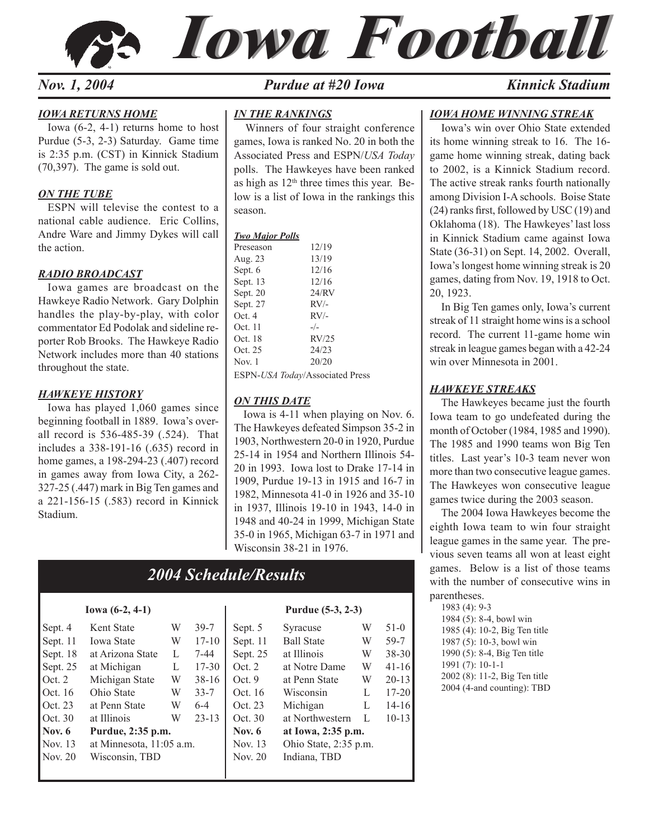



#### *IOWA RETURNS HOME*

 Iowa (6-2, 4-1) returns home to host Purdue (5-3, 2-3) Saturday. Game time is 2:35 p.m. (CST) in Kinnick Stadium (70,397). The game is sold out.

#### *ON THE TUBE*

 ESPN will televise the contest to a national cable audience. Eric Collins, Andre Ware and Jimmy Dykes will call the action.

#### *RADIO BROADCAST*

Iowa games are broadcast on the Hawkeye Radio Network. Gary Dolphin handles the play-by-play, with color commentator Ed Podolak and sideline reporter Rob Brooks. The Hawkeye Radio Network includes more than 40 stations throughout the state.

#### *HAWKEYE HISTORY*

 Iowa has played 1,060 games since beginning football in 1889. Iowa's overall record is 536-485-39 (.524). That includes a 338-191-16 (.635) record in home games, a 198-294-23 (.407) record in games away from Iowa City, a 262- 327-25 (.447) mark in Big Ten games and a 221-156-15 (.583) record in Kinnick Stadium.

#### *Nov.* 1, 2004 **Purdue at #20 Iowa** *Kinnick Stadium*

#### *IN THE RANKINGS*

Winners of four straight conference games, Iowa is ranked No. 20 in both the Associated Press and ESPN/*USA Today* polls. The Hawkeyes have been ranked as high as  $12<sup>th</sup>$  three times this year. Below is a list of Iowa in the rankings this season.

#### *Two Major Polls*

| Preseason | 12/19  |
|-----------|--------|
| Aug. 23   | 13/19  |
| Sept. 6   | 12/16  |
| Sept. 13  | 12/16  |
| Sept. 20  | 24/RV  |
| Sept. 27  | $RV/-$ |
| Oct.4     | $RV/-$ |
| Oct. 11   | $-/-$  |
| Oct. 18   | RV/25  |
| Oct. 25   | 24/23  |
| Nov. 1    | 20/20  |
|           |        |

ESPN-*USA Today*/Associated Press

#### *ON THIS DATE*

 Iowa is 4-11 when playing on Nov. 6. The Hawkeyes defeated Simpson 35-2 in 1903, Northwestern 20-0 in 1920, Purdue 25-14 in 1954 and Northern Illinois 54- 20 in 1993. Iowa lost to Drake 17-14 in 1909, Purdue 19-13 in 1915 and 16-7 in 1982, Minnesota 41-0 in 1926 and 35-10 in 1937, Illinois 19-10 in 1943, 14-0 in 1948 and 40-24 in 1999, Michigan State 35-0 in 1965, Michigan 63-7 in 1971 and Wisconsin 38-21 in 1976.

## *2004 Schedule/Results*

| Sept. 4  | Kent State               | W | $39-7$    | Sept. 5  | Syracuse              | W | $51-0$   |
|----------|--------------------------|---|-----------|----------|-----------------------|---|----------|
| Sept. 11 | <b>Iowa State</b>        | W | $17 - 10$ | Sept. 11 | <b>Ball State</b>     | W | 59-7     |
| Sept. 18 | at Arizona State         | L | 7-44      | Sept. 25 | at Illinois           | W | $38 - 3$ |
| Sept. 25 | at Michigan              | L | 17-30     | Oct. 2   | at Notre Dame         | W | $41-1$   |
| Oct. $2$ | Michigan State           | W | $38-16$   | Oct.9    | at Penn State         | W | $20-1$   |
| Oct. 16  | Ohio State               | W | $33 - 7$  | Oct. 16  | <b>Wisconsin</b>      | L | $17 - 2$ |
| Oct. 23  | at Penn State            | W | $6 - 4$   | Oct. 23  | Michigan              | L | $14-1$   |
| Oct. 30  | at Illinois              | W | $23 - 13$ | Oct. 30  | at Northwestern       | L | $10-1$   |
| Nov. $6$ | Purdue, 2:35 p.m.        |   |           | Nov. $6$ | at Iowa, 2:35 p.m.    |   |          |
| Nov. 13  | at Minnesota, 11:05 a.m. |   |           | Nov. 13  | Ohio State, 2:35 p.m. |   |          |
| Nov. 20  | Wisconsin, TBD           |   |           | Nov. 20  | Indiana, TBD          |   |          |
|          |                          |   |           |          |                       |   |          |
|          |                          |   |           |          |                       |   |          |

#### **Iowa (6-2, 4-1) Purdue (5-3, 2-3)**

| Sept. 4       | Kent State               | W | $39-7$    | Sept. 5  | Syracuse              | W | $51-0$    |
|---------------|--------------------------|---|-----------|----------|-----------------------|---|-----------|
| Sept. 11      | <b>Iowa State</b>        | W | $17 - 10$ | Sept. 11 | <b>Ball State</b>     | W | 59-7      |
| Sept. 18      | at Arizona State         | L | 7-44      | Sept. 25 | at Illinois           | W | $38 - 30$ |
| Sept. 25      | at Michigan              | L | $17 - 30$ | Oct. 2   | at Notre Dame         | W | $41-16$   |
| Oct. $2$      | Michigan State           | W | $38-16$   | Oct.9    | at Penn State         | W | $20-13$   |
| Oct. 16       | Ohio State               | W | $33 - 7$  | Oct. 16  | Wisconsin             | L | $17 - 20$ |
| Oct. 23       | at Penn State            | W | $6 - 4$   | Oct. 23  | Michigan              | L | $14-16$   |
| Oct. 30       | at Illinois              | W | $23-13$   | Oct. 30  | at Northwestern       | L | $10 - 13$ |
| <b>Nov. 6</b> | Purdue, 2:35 p.m.        |   |           | Nov. $6$ | at Iowa, 2:35 p.m.    |   |           |
| Nov. 13       | at Minnesota, 11:05 a.m. |   |           | Nov. 13  | Ohio State, 2:35 p.m. |   |           |
| Nov. 20       | Wisconsin, TBD           |   |           | Nov. 20  | Indiana, TBD          |   |           |
|               |                          |   |           |          |                       |   |           |

#### *IOWA HOME WINNING STREAK*

Iowa's win over Ohio State extended its home winning streak to 16. The 16 game home winning streak, dating back to 2002, is a Kinnick Stadium record. The active streak ranks fourth nationally among Division I-A schools. Boise State (24) ranks first, followed by USC (19) and Oklahoma (18). The Hawkeyes' last loss in Kinnick Stadium came against Iowa State (36-31) on Sept. 14, 2002. Overall, Iowa's longest home winning streak is 20 games, dating from Nov. 19, 1918 to Oct. 20, 1923.

In Big Ten games only, Iowa's current streak of 11 straight home wins is a school record. The current 11-game home win streak in league games began with a 42-24 win over Minnesota in 2001.

#### *HAWKEYE STREAKS*

The Hawkeyes became just the fourth Iowa team to go undefeated during the month of October (1984, 1985 and 1990). The 1985 and 1990 teams won Big Ten titles. Last year's 10-3 team never won more than two consecutive league games. The Hawkeyes won consecutive league games twice during the 2003 season.

The 2004 Iowa Hawkeyes become the eighth Iowa team to win four straight league games in the same year. The previous seven teams all won at least eight games. Below is a list of those teams with the number of consecutive wins in parentheses.

1983 (4): 9-3 1984 (5): 8-4, bowl win 1985 (4): 10-2, Big Ten title 1987 (5): 10-3, bowl win 1990 (5): 8-4, Big Ten title 1991 (7): 10-1-1 2002 (8): 11-2, Big Ten title 2004 (4-and counting): TBD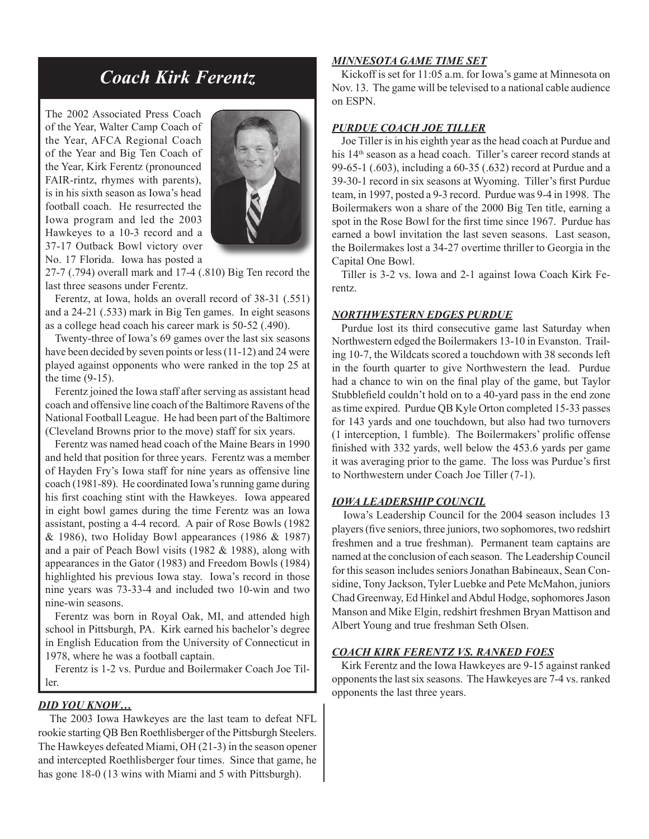# *Coach Kirk Ferentz*

The 2002 Associated Press Coach of the Year, Walter Camp Coach of the Year, AFCA Regional Coach of the Year and Big Ten Coach of the Year, Kirk Ferentz (pronounced FAIR-rintz, rhymes with parents), is in his sixth season as Iowa's head football coach. He resurrected the Iowa program and led the 2003 Hawkeyes to a 10-3 record and a 37-17 Outback Bowl victory over No. 17 Florida. Iowa has posted a



27-7 (.794) overall mark and 17-4 (.810) Big Ten record the last three seasons under Ferentz.

 Ferentz, at Iowa, holds an overall record of 38-31 (.551) and a 24-21 (.533) mark in Big Ten games. In eight seasons as a college head coach his career mark is 50-52 (.490).

 Twenty-three of Iowa's 69 games over the last six seasons have been decided by seven points or less (11-12) and 24 were played against opponents who were ranked in the top 25 at the time (9-15).

 Ferentz joined the Iowa staff after serving as assistant head coach and offensive line coach of the Baltimore Ravens of the National Football League. He had been part of the Baltimore (Cleveland Browns prior to the move) staff for six years.

 Ferentz was named head coach of the Maine Bears in 1990 and held that position for three years. Ferentz was a member of Hayden Fry's Iowa staff for nine years as offensive line coach (1981-89). He coordinated Iowa's running game during his first coaching stint with the Hawkeyes. Iowa appeared in eight bowl games during the time Ferentz was an Iowa assistant, posting a 4-4 record. A pair of Rose Bowls (1982 & 1986), two Holiday Bowl appearances (1986 & 1987) and a pair of Peach Bowl visits (1982 & 1988), along with appearances in the Gator (1983) and Freedom Bowls (1984) highlighted his previous Iowa stay. Iowa's record in those nine years was 73-33-4 and included two 10-win and two nine-win seasons.

 Ferentz was born in Royal Oak, MI, and attended high school in Pittsburgh, PA. Kirk earned his bachelor's degree in English Education from the University of Connecticut in 1978, where he was a football captain.

 Ferentz is 1-2 vs. Purdue and Boilermaker Coach Joe Tiller.

#### *DID YOU KNOW…*

The 2003 Iowa Hawkeyes are the last team to defeat NFL rookie starting QB Ben Roethlisberger of the Pittsburgh Steelers. The Hawkeyes defeated Miami, OH (21-3) in the season opener and intercepted Roethlisberger four times. Since that game, he has gone 18-0 (13 wins with Miami and 5 with Pittsburgh).

#### *MINNESOTA GAME TIME SET*

 Kickoff is set for 11:05 a.m. for Iowa's game at Minnesota on Nov. 13. The game will be televised to a national cable audience on ESPN.

#### *PURDUE COACH JOE TILLER*

 Joe Tiller is in his eighth year as the head coach at Purdue and his 14<sup>th</sup> season as a head coach. Tiller's career record stands at 99-65-1 (.603), including a 60-35 (.632) record at Purdue and a 39-30-1 record in six seasons at Wyoming. Tiller's first Purdue team, in 1997, posted a 9-3 record. Purdue was 9-4 in 1998. The Boilermakers won a share of the 2000 Big Ten title, earning a spot in the Rose Bowl for the first time since 1967. Purdue has earned a bowl invitation the last seven seasons. Last season, the Boilermakes lost a 34-27 overtime thriller to Georgia in the Capital One Bowl.

 Tiller is 3-2 vs. Iowa and 2-1 against Iowa Coach Kirk Ferentz.

#### *NORTHWESTERN EDGES PURDUE*

 Purdue lost its third consecutive game last Saturday when Northwestern edged the Boilermakers 13-10 in Evanston. Trailing 10-7, the Wildcats scored a touchdown with 38 seconds left in the fourth quarter to give Northwestern the lead. Purdue had a chance to win on the final play of the game, but Taylor Stubblefield couldn't hold on to a 40-yard pass in the end zone as time expired. Purdue QB Kyle Orton completed 15-33 passes for 143 yards and one touchdown, but also had two turnovers  $(1$  interception, 1 fumble). The Boilermakers' prolific offense finished with 332 yards, well below the 453.6 yards per game it was averaging prior to the game. The loss was Purdue's first to Northwestern under Coach Joe Tiller (7-1).

#### *IOWA LEADERSHIP COUNCIL*

Iowa's Leadership Council for the 2004 season includes 13 players (five seniors, three juniors, two sophomores, two redshirt freshmen and a true freshman). Permanent team captains are named at the conclusion of each season. The Leadership Council for this season includes seniors Jonathan Babineaux, Sean Considine, Tony Jackson, Tyler Luebke and Pete McMahon, juniors Chad Greenway, Ed Hinkel and Abdul Hodge, sophomores Jason Manson and Mike Elgin, redshirt freshmen Bryan Mattison and Albert Young and true freshman Seth Olsen.

#### *COACH KIRK FERENTZ VS. RANKED FOES*

 Kirk Ferentz and the Iowa Hawkeyes are 9-15 against ranked opponents the last six seasons. The Hawkeyes are 7-4 vs. ranked opponents the last three years.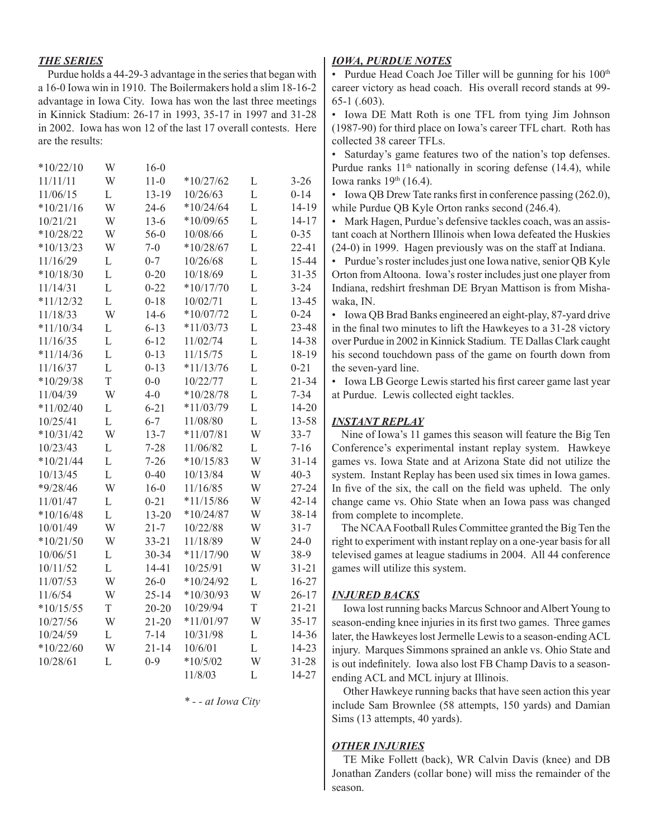#### *THE SERIES*

 Purdue holds a 44-29-3 advantage in the series that began with a 16-0 Iowa win in 1910. The Boilermakers hold a slim 18-16-2 advantage in Iowa City. Iowa has won the last three meetings in Kinnick Stadium: 26-17 in 1993, 35-17 in 1997 and 31-28 in 2002. Iowa has won 12 of the last 17 overall contests. Here are the results:

| $11 - 0$<br>11/11/11<br>W<br>$*10/27/62$<br>L<br>$3 - 26$<br>$13 - 19$<br>L<br>$0 - 14$<br>11/06/15<br>L<br>10/26/63<br>$*10/21/16$<br>W<br>$*10/24/64$<br>L<br>$24-6$<br>10/21/21<br>W<br>$13-6$<br>$*10/09/65$<br>L<br>L<br>$*10/28/22$<br>W<br>$56-0$<br>10/08/66<br>$0 - 35$<br>$*10/13/23$<br>L<br>W<br>$7 - 0$<br>$*10/28/67$<br>11/16/29<br>10/26/68<br>L<br>L<br>$0 - 7$<br>L<br>10/18/69<br>$*10/18/30$<br>L<br>$0 - 20$<br>L<br>$0 - 22$<br>L<br>$3 - 24$<br>11/14/31<br>$*10/17/70$<br>L<br>$0 - 18$<br>L<br>$*11/12/32$<br>10/02/71<br>$0 - 24$<br>11/18/33<br>W<br>$14-6$<br>$*10/07/72$<br>L<br>$*11/10/34$<br>L<br>$6 - 13$<br>$*11/03/73$<br>L<br>L<br>$6 - 12$<br>11/02/74<br>L<br>11/16/35<br>$*11/14/36$<br>L<br>$0 - 13$<br>L<br>11/15/75<br>L<br>L<br>$*11/13/76$<br>$0 - 21$<br>11/16/37<br>$0 - 13$<br>T<br>L<br>$*10/29/38$<br>$0 - 0$<br>10/22/77<br>11/04/39<br>W<br>$4-0$<br>$*10/28/78$<br>L<br>$7 - 34$<br>$*11/02/40$<br>$*11/03/79$<br>L<br>$6 - 21$<br>L<br>$6 - 7$<br>L<br>10/25/41<br>L<br>11/08/80<br>W<br>$*10/31/42$<br>W<br>$*11/07/81$<br>$33 - 7$<br>$13 - 7$<br>11/06/82<br>$7 - 16$<br>10/23/43<br>L<br>$7 - 28$<br>L<br>W<br>$*10/21/44$<br>L<br>$7 - 26$<br>$*10/15/83$<br>L<br>10/13/45<br>$0 - 40$<br>10/13/84<br>W<br>$40 - 3$<br>W<br>$*9/28/46$<br>$16-0$<br>11/16/85<br>W<br>$*11/15/86$<br>11/01/47<br>L<br>$0 - 21$<br>W<br>L<br>$13 - 20$<br>$*10/16/48$<br>$*10/24/87$<br>W<br>W<br>$21 - 7$<br>$31 - 7$<br>10/01/49<br>10/22/88<br>W<br>$*10/21/50$<br>11/18/89<br>W<br>$24 - 0$<br>W<br>$33 - 21$<br>$*11/17/90$<br>W<br>10/06/51<br>L<br>30-34<br>38-9<br>L<br>14-41<br>10/25/91<br>W<br>10/11/52<br>W<br>$26 - 0$<br>$*10/24/92$<br>L<br>11/07/53<br>11/6/54<br>W<br>$*10/30/93$<br>W<br>$25 - 14$<br>$*10/15/55$<br>$\boldsymbol{\mathrm{T}}$<br>$20 - 20$<br>10/29/94<br>T<br>$*11/01/97$<br>W<br>10/27/56<br>W<br>$21 - 20$<br>10/24/59<br>$7 - 14$<br>10/31/98<br>L<br>L<br>W<br>L<br>$*10/22/60$<br>$21 - 14$<br>10/6/01<br>$0 - 9$<br>$*10/5/02$<br>W<br>10/28/61<br>L<br>11/8/03<br>L | $*10/22/10$ | W | $16-0$ |  |           |
|--------------------------------------------------------------------------------------------------------------------------------------------------------------------------------------------------------------------------------------------------------------------------------------------------------------------------------------------------------------------------------------------------------------------------------------------------------------------------------------------------------------------------------------------------------------------------------------------------------------------------------------------------------------------------------------------------------------------------------------------------------------------------------------------------------------------------------------------------------------------------------------------------------------------------------------------------------------------------------------------------------------------------------------------------------------------------------------------------------------------------------------------------------------------------------------------------------------------------------------------------------------------------------------------------------------------------------------------------------------------------------------------------------------------------------------------------------------------------------------------------------------------------------------------------------------------------------------------------------------------------------------------------------------------------------------------------------------------------------------------------------------------------------------------------------------------------------------------------------------------------------------------------------------------------------------------------------------------------------------------------------------------------------------------------------|-------------|---|--------|--|-----------|
|                                                                                                                                                                                                                                                                                                                                                                                                                                                                                                                                                                                                                                                                                                                                                                                                                                                                                                                                                                                                                                                                                                                                                                                                                                                                                                                                                                                                                                                                                                                                                                                                                                                                                                                                                                                                                                                                                                                                                                                                                                                        |             |   |        |  |           |
|                                                                                                                                                                                                                                                                                                                                                                                                                                                                                                                                                                                                                                                                                                                                                                                                                                                                                                                                                                                                                                                                                                                                                                                                                                                                                                                                                                                                                                                                                                                                                                                                                                                                                                                                                                                                                                                                                                                                                                                                                                                        |             |   |        |  |           |
|                                                                                                                                                                                                                                                                                                                                                                                                                                                                                                                                                                                                                                                                                                                                                                                                                                                                                                                                                                                                                                                                                                                                                                                                                                                                                                                                                                                                                                                                                                                                                                                                                                                                                                                                                                                                                                                                                                                                                                                                                                                        |             |   |        |  | 14-19     |
|                                                                                                                                                                                                                                                                                                                                                                                                                                                                                                                                                                                                                                                                                                                                                                                                                                                                                                                                                                                                                                                                                                                                                                                                                                                                                                                                                                                                                                                                                                                                                                                                                                                                                                                                                                                                                                                                                                                                                                                                                                                        |             |   |        |  | $14 - 17$ |
|                                                                                                                                                                                                                                                                                                                                                                                                                                                                                                                                                                                                                                                                                                                                                                                                                                                                                                                                                                                                                                                                                                                                                                                                                                                                                                                                                                                                                                                                                                                                                                                                                                                                                                                                                                                                                                                                                                                                                                                                                                                        |             |   |        |  |           |
|                                                                                                                                                                                                                                                                                                                                                                                                                                                                                                                                                                                                                                                                                                                                                                                                                                                                                                                                                                                                                                                                                                                                                                                                                                                                                                                                                                                                                                                                                                                                                                                                                                                                                                                                                                                                                                                                                                                                                                                                                                                        |             |   |        |  | 22-41     |
|                                                                                                                                                                                                                                                                                                                                                                                                                                                                                                                                                                                                                                                                                                                                                                                                                                                                                                                                                                                                                                                                                                                                                                                                                                                                                                                                                                                                                                                                                                                                                                                                                                                                                                                                                                                                                                                                                                                                                                                                                                                        |             |   |        |  | 15-44     |
|                                                                                                                                                                                                                                                                                                                                                                                                                                                                                                                                                                                                                                                                                                                                                                                                                                                                                                                                                                                                                                                                                                                                                                                                                                                                                                                                                                                                                                                                                                                                                                                                                                                                                                                                                                                                                                                                                                                                                                                                                                                        |             |   |        |  | $31 - 35$ |
|                                                                                                                                                                                                                                                                                                                                                                                                                                                                                                                                                                                                                                                                                                                                                                                                                                                                                                                                                                                                                                                                                                                                                                                                                                                                                                                                                                                                                                                                                                                                                                                                                                                                                                                                                                                                                                                                                                                                                                                                                                                        |             |   |        |  |           |
|                                                                                                                                                                                                                                                                                                                                                                                                                                                                                                                                                                                                                                                                                                                                                                                                                                                                                                                                                                                                                                                                                                                                                                                                                                                                                                                                                                                                                                                                                                                                                                                                                                                                                                                                                                                                                                                                                                                                                                                                                                                        |             |   |        |  | 13-45     |
|                                                                                                                                                                                                                                                                                                                                                                                                                                                                                                                                                                                                                                                                                                                                                                                                                                                                                                                                                                                                                                                                                                                                                                                                                                                                                                                                                                                                                                                                                                                                                                                                                                                                                                                                                                                                                                                                                                                                                                                                                                                        |             |   |        |  |           |
|                                                                                                                                                                                                                                                                                                                                                                                                                                                                                                                                                                                                                                                                                                                                                                                                                                                                                                                                                                                                                                                                                                                                                                                                                                                                                                                                                                                                                                                                                                                                                                                                                                                                                                                                                                                                                                                                                                                                                                                                                                                        |             |   |        |  | 23-48     |
|                                                                                                                                                                                                                                                                                                                                                                                                                                                                                                                                                                                                                                                                                                                                                                                                                                                                                                                                                                                                                                                                                                                                                                                                                                                                                                                                                                                                                                                                                                                                                                                                                                                                                                                                                                                                                                                                                                                                                                                                                                                        |             |   |        |  | 14-38     |
|                                                                                                                                                                                                                                                                                                                                                                                                                                                                                                                                                                                                                                                                                                                                                                                                                                                                                                                                                                                                                                                                                                                                                                                                                                                                                                                                                                                                                                                                                                                                                                                                                                                                                                                                                                                                                                                                                                                                                                                                                                                        |             |   |        |  | 18-19     |
|                                                                                                                                                                                                                                                                                                                                                                                                                                                                                                                                                                                                                                                                                                                                                                                                                                                                                                                                                                                                                                                                                                                                                                                                                                                                                                                                                                                                                                                                                                                                                                                                                                                                                                                                                                                                                                                                                                                                                                                                                                                        |             |   |        |  |           |
|                                                                                                                                                                                                                                                                                                                                                                                                                                                                                                                                                                                                                                                                                                                                                                                                                                                                                                                                                                                                                                                                                                                                                                                                                                                                                                                                                                                                                                                                                                                                                                                                                                                                                                                                                                                                                                                                                                                                                                                                                                                        |             |   |        |  | $21 - 34$ |
|                                                                                                                                                                                                                                                                                                                                                                                                                                                                                                                                                                                                                                                                                                                                                                                                                                                                                                                                                                                                                                                                                                                                                                                                                                                                                                                                                                                                                                                                                                                                                                                                                                                                                                                                                                                                                                                                                                                                                                                                                                                        |             |   |        |  |           |
|                                                                                                                                                                                                                                                                                                                                                                                                                                                                                                                                                                                                                                                                                                                                                                                                                                                                                                                                                                                                                                                                                                                                                                                                                                                                                                                                                                                                                                                                                                                                                                                                                                                                                                                                                                                                                                                                                                                                                                                                                                                        |             |   |        |  | 14-20     |
|                                                                                                                                                                                                                                                                                                                                                                                                                                                                                                                                                                                                                                                                                                                                                                                                                                                                                                                                                                                                                                                                                                                                                                                                                                                                                                                                                                                                                                                                                                                                                                                                                                                                                                                                                                                                                                                                                                                                                                                                                                                        |             |   |        |  | 13-58     |
|                                                                                                                                                                                                                                                                                                                                                                                                                                                                                                                                                                                                                                                                                                                                                                                                                                                                                                                                                                                                                                                                                                                                                                                                                                                                                                                                                                                                                                                                                                                                                                                                                                                                                                                                                                                                                                                                                                                                                                                                                                                        |             |   |        |  |           |
|                                                                                                                                                                                                                                                                                                                                                                                                                                                                                                                                                                                                                                                                                                                                                                                                                                                                                                                                                                                                                                                                                                                                                                                                                                                                                                                                                                                                                                                                                                                                                                                                                                                                                                                                                                                                                                                                                                                                                                                                                                                        |             |   |        |  |           |
|                                                                                                                                                                                                                                                                                                                                                                                                                                                                                                                                                                                                                                                                                                                                                                                                                                                                                                                                                                                                                                                                                                                                                                                                                                                                                                                                                                                                                                                                                                                                                                                                                                                                                                                                                                                                                                                                                                                                                                                                                                                        |             |   |        |  | $31 - 14$ |
|                                                                                                                                                                                                                                                                                                                                                                                                                                                                                                                                                                                                                                                                                                                                                                                                                                                                                                                                                                                                                                                                                                                                                                                                                                                                                                                                                                                                                                                                                                                                                                                                                                                                                                                                                                                                                                                                                                                                                                                                                                                        |             |   |        |  |           |
|                                                                                                                                                                                                                                                                                                                                                                                                                                                                                                                                                                                                                                                                                                                                                                                                                                                                                                                                                                                                                                                                                                                                                                                                                                                                                                                                                                                                                                                                                                                                                                                                                                                                                                                                                                                                                                                                                                                                                                                                                                                        |             |   |        |  | $27 - 24$ |
|                                                                                                                                                                                                                                                                                                                                                                                                                                                                                                                                                                                                                                                                                                                                                                                                                                                                                                                                                                                                                                                                                                                                                                                                                                                                                                                                                                                                                                                                                                                                                                                                                                                                                                                                                                                                                                                                                                                                                                                                                                                        |             |   |        |  | $42 - 14$ |
|                                                                                                                                                                                                                                                                                                                                                                                                                                                                                                                                                                                                                                                                                                                                                                                                                                                                                                                                                                                                                                                                                                                                                                                                                                                                                                                                                                                                                                                                                                                                                                                                                                                                                                                                                                                                                                                                                                                                                                                                                                                        |             |   |        |  | $38 - 14$ |
|                                                                                                                                                                                                                                                                                                                                                                                                                                                                                                                                                                                                                                                                                                                                                                                                                                                                                                                                                                                                                                                                                                                                                                                                                                                                                                                                                                                                                                                                                                                                                                                                                                                                                                                                                                                                                                                                                                                                                                                                                                                        |             |   |        |  |           |
|                                                                                                                                                                                                                                                                                                                                                                                                                                                                                                                                                                                                                                                                                                                                                                                                                                                                                                                                                                                                                                                                                                                                                                                                                                                                                                                                                                                                                                                                                                                                                                                                                                                                                                                                                                                                                                                                                                                                                                                                                                                        |             |   |        |  |           |
|                                                                                                                                                                                                                                                                                                                                                                                                                                                                                                                                                                                                                                                                                                                                                                                                                                                                                                                                                                                                                                                                                                                                                                                                                                                                                                                                                                                                                                                                                                                                                                                                                                                                                                                                                                                                                                                                                                                                                                                                                                                        |             |   |        |  |           |
|                                                                                                                                                                                                                                                                                                                                                                                                                                                                                                                                                                                                                                                                                                                                                                                                                                                                                                                                                                                                                                                                                                                                                                                                                                                                                                                                                                                                                                                                                                                                                                                                                                                                                                                                                                                                                                                                                                                                                                                                                                                        |             |   |        |  | $31 - 21$ |
|                                                                                                                                                                                                                                                                                                                                                                                                                                                                                                                                                                                                                                                                                                                                                                                                                                                                                                                                                                                                                                                                                                                                                                                                                                                                                                                                                                                                                                                                                                                                                                                                                                                                                                                                                                                                                                                                                                                                                                                                                                                        |             |   |        |  | $16 - 27$ |
|                                                                                                                                                                                                                                                                                                                                                                                                                                                                                                                                                                                                                                                                                                                                                                                                                                                                                                                                                                                                                                                                                                                                                                                                                                                                                                                                                                                                                                                                                                                                                                                                                                                                                                                                                                                                                                                                                                                                                                                                                                                        |             |   |        |  | $26 - 17$ |
|                                                                                                                                                                                                                                                                                                                                                                                                                                                                                                                                                                                                                                                                                                                                                                                                                                                                                                                                                                                                                                                                                                                                                                                                                                                                                                                                                                                                                                                                                                                                                                                                                                                                                                                                                                                                                                                                                                                                                                                                                                                        |             |   |        |  | $21 - 21$ |
|                                                                                                                                                                                                                                                                                                                                                                                                                                                                                                                                                                                                                                                                                                                                                                                                                                                                                                                                                                                                                                                                                                                                                                                                                                                                                                                                                                                                                                                                                                                                                                                                                                                                                                                                                                                                                                                                                                                                                                                                                                                        |             |   |        |  | $35 - 17$ |
|                                                                                                                                                                                                                                                                                                                                                                                                                                                                                                                                                                                                                                                                                                                                                                                                                                                                                                                                                                                                                                                                                                                                                                                                                                                                                                                                                                                                                                                                                                                                                                                                                                                                                                                                                                                                                                                                                                                                                                                                                                                        |             |   |        |  | 14-36     |
|                                                                                                                                                                                                                                                                                                                                                                                                                                                                                                                                                                                                                                                                                                                                                                                                                                                                                                                                                                                                                                                                                                                                                                                                                                                                                                                                                                                                                                                                                                                                                                                                                                                                                                                                                                                                                                                                                                                                                                                                                                                        |             |   |        |  | 14-23     |
|                                                                                                                                                                                                                                                                                                                                                                                                                                                                                                                                                                                                                                                                                                                                                                                                                                                                                                                                                                                                                                                                                                                                                                                                                                                                                                                                                                                                                                                                                                                                                                                                                                                                                                                                                                                                                                                                                                                                                                                                                                                        |             |   |        |  | $31 - 28$ |
|                                                                                                                                                                                                                                                                                                                                                                                                                                                                                                                                                                                                                                                                                                                                                                                                                                                                                                                                                                                                                                                                                                                                                                                                                                                                                                                                                                                                                                                                                                                                                                                                                                                                                                                                                                                                                                                                                                                                                                                                                                                        |             |   |        |  | 14-27     |

*\* - - at Iowa City*

#### *IOWA, PURDUE NOTES*

• Purdue Head Coach Joe Tiller will be gunning for his 100<sup>th</sup> career victory as head coach. His overall record stands at 99- 65-1 (.603).

• Iowa DE Matt Roth is one TFL from tying Jim Johnson (1987-90) for third place on Iowa's career TFL chart. Roth has collected 38 career TFLs.

• Saturday's game features two of the nation's top defenses. Purdue ranks  $11<sup>th</sup>$  nationally in scoring defense (14.4), while Iowa ranks  $19<sup>th</sup>$  (16.4).

• Iowa OB Drew Tate ranks first in conference passing (262.0), while Purdue QB Kyle Orton ranks second (246.4).

• Mark Hagen, Purdue's defensive tackles coach, was an assistant coach at Northern Illinois when Iowa defeated the Huskies (24-0) in 1999. Hagen previously was on the staff at Indiana.

• Purdue's roster includes just one Iowa native, senior QB Kyle Orton from Altoona. Iowa's roster includes just one player from Indiana, redshirt freshman DE Bryan Mattison is from Mishawaka, IN.

• Iowa QB Brad Banks engineered an eight-play, 87-yard drive in the final two minutes to lift the Hawkeyes to a 31-28 victory over Purdue in 2002 in Kinnick Stadium. TE Dallas Clark caught his second touchdown pass of the game on fourth down from the seven-yard line.

• Iowa LB George Lewis started his first career game last year at Purdue. Lewis collected eight tackles.

#### *INSTANT REPLAY*

 Nine of Iowa's 11 games this season will feature the Big Ten Conference's experimental instant replay system. Hawkeye games vs. Iowa State and at Arizona State did not utilize the system. Instant Replay has been used six times in Iowa games. In five of the six, the call on the field was upheld. The only change came vs. Ohio State when an Iowa pass was changed from complete to incomplete.

 The NCAA Football Rules Committee granted the Big Ten the right to experiment with instant replay on a one-year basis for all televised games at league stadiums in 2004. All 44 conference games will utilize this system.

#### *INJURED BACKS*

Iowa lost running backs Marcus Schnoor and Albert Young to season-ending knee injuries in its first two games. Three games later, the Hawkeyes lost Jermelle Lewis to a season-ending ACL injury. Marques Simmons sprained an ankle vs. Ohio State and is out indefinitely. Iowa also lost FB Champ Davis to a seasonending ACL and MCL injury at Illinois.

Other Hawkeye running backs that have seen action this year include Sam Brownlee (58 attempts, 150 yards) and Damian Sims (13 attempts, 40 yards).

#### *OTHER INJURIES*

TE Mike Follett (back), WR Calvin Davis (knee) and DB Jonathan Zanders (collar bone) will miss the remainder of the season.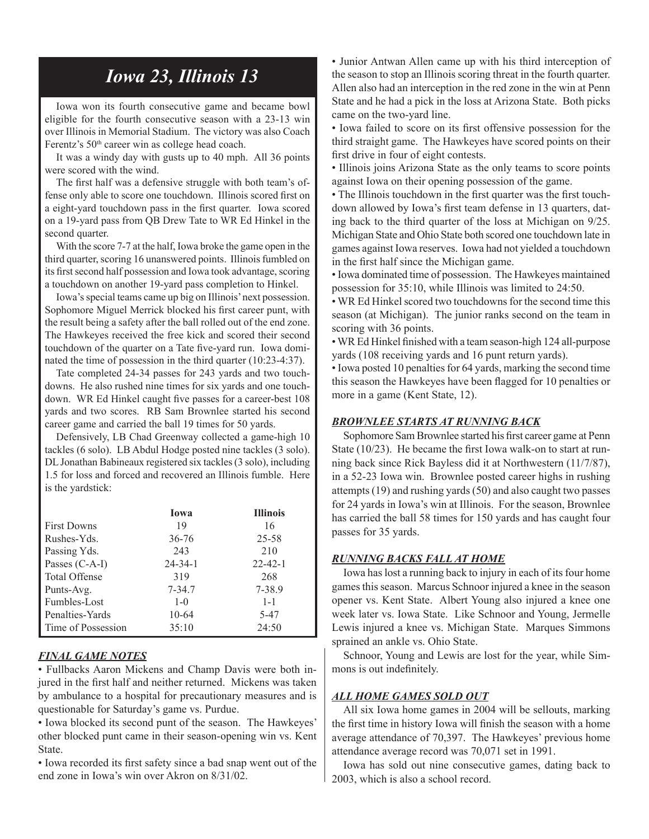# *Iowa 23, Illinois 13*

Iowa won its fourth consecutive game and became bowl eligible for the fourth consecutive season with a 23-13 win over Illinois in Memorial Stadium. The victory was also Coach Ferentz's 50<sup>th</sup> career win as college head coach.

It was a windy day with gusts up to 40 mph. All 36 points were scored with the wind.

The first half was a defensive struggle with both team's offense only able to score one touchdown. Illinois scored first on a eight-yard touchdown pass in the first quarter. Iowa scored on a 19-yard pass from QB Drew Tate to WR Ed Hinkel in the second quarter.

With the score 7-7 at the half, Iowa broke the game open in the third quarter, scoring 16 unanswered points. Illinois fumbled on its first second half possession and Iowa took advantage, scoring a touchdown on another 19-yard pass completion to Hinkel.

Iowa's special teams came up big on Illinois' next possession. Sophomore Miguel Merrick blocked his first career punt, with the result being a safety after the ball rolled out of the end zone. The Hawkeyes received the free kick and scored their second touchdown of the quarter on a Tate five-yard run. Iowa dominated the time of possession in the third quarter (10:23-4:37).

Tate completed 24-34 passes for 243 yards and two touchdowns. He also rushed nine times for six yards and one touchdown. WR Ed Hinkel caught five passes for a career-best 108 yards and two scores. RB Sam Brownlee started his second career game and carried the ball 19 times for 50 yards.

Defensively, LB Chad Greenway collected a game-high 10 tackles (6 solo). LB Abdul Hodge posted nine tackles (3 solo). DL Jonathan Babineaux registered six tackles (3 solo), including 1.5 for loss and forced and recovered an Illinois fumble. Here is the yardstick:

|                      | <b>Iowa</b>   | <b>Illinois</b> |
|----------------------|---------------|-----------------|
| <b>First Downs</b>   | 19            | 16              |
| Rushes-Yds.          | $36 - 76$     | 25-58           |
| Passing Yds.         | 243           | 210             |
| Passes (C-A-I)       | $24 - 34 - 1$ | $22 - 42 - 1$   |
| <b>Total Offense</b> | 319           | 268             |
| Punts-Avg.           | $7 - 34.7$    | 7-38.9          |
| Fumbles-Lost         | $1 - 0$       | $1 - 1$         |
| Penalties-Yards      | $10-64$       | 5-47            |
| Time of Possession   | 35:10         | 24:50           |

#### *FINAL GAME NOTES*

• Fullbacks Aaron Mickens and Champ Davis were both injured in the first half and neither returned. Mickens was taken by ambulance to a hospital for precautionary measures and is questionable for Saturday's game vs. Purdue.

• Iowa blocked its second punt of the season. The Hawkeyes' other blocked punt came in their season-opening win vs. Kent State.

• Iowa recorded its first safety since a bad snap went out of the end zone in Iowa's win over Akron on 8/31/02.

• Junior Antwan Allen came up with his third interception of the season to stop an Illinois scoring threat in the fourth quarter. Allen also had an interception in the red zone in the win at Penn State and he had a pick in the loss at Arizona State. Both picks came on the two-yard line.

• Iowa failed to score on its first offensive possession for the third straight game. The Hawkeyes have scored points on their first drive in four of eight contests.

• Illinois joins Arizona State as the only teams to score points against Iowa on their opening possession of the game.

• The Illinois touchdown in the first quarter was the first touchdown allowed by Iowa's first team defense in 13 quarters, dating back to the third quarter of the loss at Michigan on 9/25. Michigan State and Ohio State both scored one touchdown late in games against Iowa reserves. Iowa had not yielded a touchdown in the first half since the Michigan game.

• Iowa dominated time of possession. The Hawkeyes maintained possession for 35:10, while Illinois was limited to 24:50.

• WR Ed Hinkel scored two touchdowns for the second time this season (at Michigan). The junior ranks second on the team in scoring with 36 points.

• WR Ed Hinkel finished with a team season-high 124 all-purpose yards (108 receiving yards and 16 punt return yards).

• Iowa posted 10 penalties for 64 yards, marking the second time this season the Hawkeyes have been flagged for 10 penalties or more in a game (Kent State, 12).

#### *BROWNLEE STARTS AT RUNNING BACK*

Sophomore Sam Brownlee started his first career game at Penn State (10/23). He became the first Iowa walk-on to start at running back since Rick Bayless did it at Northwestern (11/7/87), in a 52-23 Iowa win. Brownlee posted career highs in rushing attempts (19) and rushing yards (50) and also caught two passes for 24 yards in Iowa's win at Illinois. For the season, Brownlee has carried the ball 58 times for 150 yards and has caught four passes for 35 yards.

#### *RUNNING BACKS FALL AT HOME*

Iowa has lost a running back to injury in each of its four home games this season. Marcus Schnoor injured a knee in the season opener vs. Kent State. Albert Young also injured a knee one week later vs. Iowa State. Like Schnoor and Young, Jermelle Lewis injured a knee vs. Michigan State. Marques Simmons sprained an ankle vs. Ohio State.

Schnoor, Young and Lewis are lost for the year, while Simmons is out indefinitely.

#### *ALL HOME GAMES SOLD OUT*

All six Iowa home games in 2004 will be sellouts, marking the first time in history Iowa will finish the season with a home average attendance of 70,397. The Hawkeyes' previous home attendance average record was 70,071 set in 1991.

Iowa has sold out nine consecutive games, dating back to 2003, which is also a school record.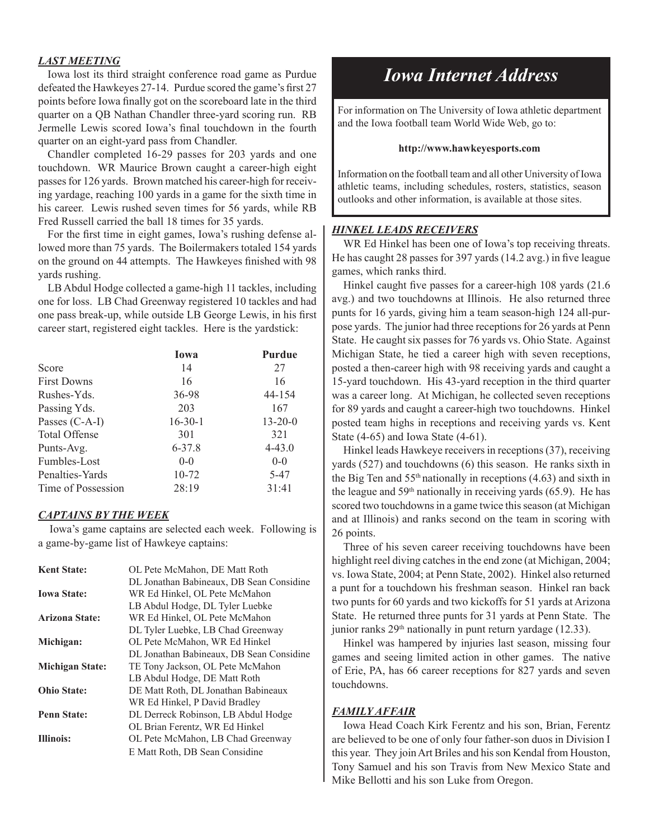#### *LAST MEETING*

 Iowa lost its third straight conference road game as Purdue defeated the Hawkeyes 27-14. Purdue scored the game's first 27 points before Iowa finally got on the scoreboard late in the third quarter on a QB Nathan Chandler three-yard scoring run. RB Jermelle Lewis scored Iowa's final touchdown in the fourth quarter on an eight-yard pass from Chandler.

 Chandler completed 16-29 passes for 203 yards and one touchdown. WR Maurice Brown caught a career-high eight passes for 126 yards. Brown matched his career-high for receiving yardage, reaching 100 yards in a game for the sixth time in his career. Lewis rushed seven times for 56 yards, while RB Fred Russell carried the ball 18 times for 35 yards.

 For the first time in eight games, Iowa's rushing defense allowed more than 75 yards. The Boilermakers totaled 154 yards on the ground on 44 attempts. The Hawkeyes finished with 98 yards rushing.

 LB Abdul Hodge collected a game-high 11 tackles, including one for loss. LB Chad Greenway registered 10 tackles and had one pass break-up, while outside LB George Lewis, in his first career start, registered eight tackles. Here is the yardstick:

|                      | <b>Iowa</b>   | <b>Purdue</b> |
|----------------------|---------------|---------------|
| Score                | 14            | 27            |
| <b>First Downs</b>   | 16            | 16            |
| Rushes-Yds.          | 36-98         | 44-154        |
| Passing Yds.         | 203           | 167           |
| Passes (C-A-I)       | $16 - 30 - 1$ | $13 - 20 - 0$ |
| <b>Total Offense</b> | 301           | 321           |
| Punts-Avg.           | $6 - 37.8$    | $4 - 43.0$    |
| Fumbles-Lost         | $0 - 0$       | $0-0$         |
| Penalties-Yards      | 10-72         | 5-47          |
| Time of Possession   | 28:19         | 31:41         |

#### *CAPTAINS BY THE WEEK*

Iowa's game captains are selected each week. Following is a game-by-game list of Hawkeye captains:

| <b>Kent State:</b>     | OL Pete McMahon, DE Matt Roth            |
|------------------------|------------------------------------------|
|                        | DL Jonathan Babineaux, DB Sean Considine |
| <b>Iowa State:</b>     | WR Ed Hinkel, OL Pete McMahon            |
|                        | LB Abdul Hodge, DL Tyler Luebke          |
| <b>Arizona State:</b>  | WR Ed Hinkel, OL Pete McMahon            |
|                        | DL Tyler Luebke, LB Chad Greenway        |
| Michigan:              | OL Pete McMahon, WR Ed Hinkel            |
|                        | DL Jonathan Babineaux, DB Sean Considine |
| <b>Michigan State:</b> | TE Tony Jackson, OL Pete McMahon         |
|                        | LB Abdul Hodge, DE Matt Roth             |
| <b>Ohio State:</b>     | DE Matt Roth, DL Jonathan Babineaux      |
|                        | WR Ed Hinkel, P David Bradley            |
| <b>Penn State:</b>     | DL Derreck Robinson, LB Abdul Hodge      |
|                        | OL Brian Ferentz, WR Ed Hinkel           |
| <b>Illinois:</b>       | OL Pete McMahon, LB Chad Greenway        |
|                        | E Matt Roth, DB Sean Considine           |

# *Iowa Internet Address*

For information on The University of Iowa athletic department and the Iowa football team World Wide Web, go to:

#### **http://www.hawkeyesports.com**

Information on the football team and all other University of Iowa athletic teams, including schedules, rosters, statistics, season outlooks and other information, is available at those sites.

#### *HINKEL LEADS RECEIVERS*

WR Ed Hinkel has been one of Iowa's top receiving threats. He has caught 28 passes for 397 yards (14.2 avg.) in five league games, which ranks third.

Hinkel caught five passes for a career-high 108 yards (21.6 avg.) and two touchdowns at Illinois. He also returned three punts for 16 yards, giving him a team season-high 124 all-purpose yards. The junior had three receptions for 26 yards at Penn State. He caught six passes for 76 yards vs. Ohio State. Against Michigan State, he tied a career high with seven receptions, posted a then-career high with 98 receiving yards and caught a 15-yard touchdown. His 43-yard reception in the third quarter was a career long. At Michigan, he collected seven receptions for 89 yards and caught a career-high two touchdowns. Hinkel posted team highs in receptions and receiving yards vs. Kent State (4-65) and Iowa State (4-61).

Hinkel leads Hawkeye receivers in receptions (37), receiving yards (527) and touchdowns (6) this season. He ranks sixth in the Big Ten and  $55<sup>th</sup>$  nationally in receptions (4.63) and sixth in the league and  $59<sup>th</sup>$  nationally in receiving yards (65.9). He has scored two touchdowns in a game twice this season (at Michigan and at Illinois) and ranks second on the team in scoring with 26 points.

Three of his seven career receiving touchdowns have been highlight reel diving catches in the end zone (at Michigan, 2004; vs. Iowa State, 2004; at Penn State, 2002). Hinkel also returned a punt for a touchdown his freshman season. Hinkel ran back two punts for 60 yards and two kickoffs for 51 yards at Arizona State. He returned three punts for 31 yards at Penn State. The junior ranks  $29<sup>th</sup>$  nationally in punt return yardage (12.33).

Hinkel was hampered by injuries last season, missing four games and seeing limited action in other games. The native of Erie, PA, has 66 career receptions for 827 yards and seven touchdowns.

#### *FAMILY AFFAIR*

Iowa Head Coach Kirk Ferentz and his son, Brian, Ferentz are believed to be one of only four father-son duos in Division I this year. They join Art Briles and his son Kendal from Houston, Tony Samuel and his son Travis from New Mexico State and Mike Bellotti and his son Luke from Oregon.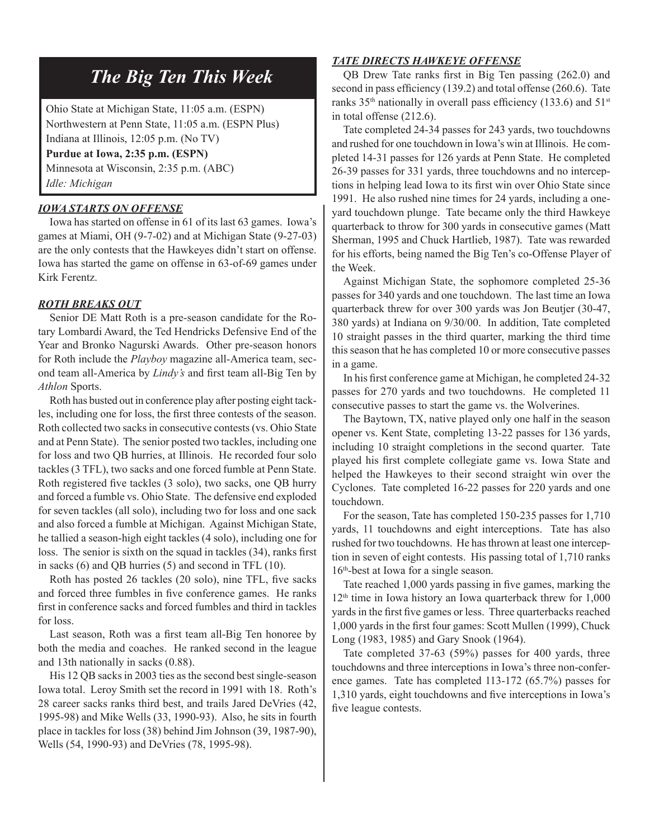# *The Big Ten This Week*

Ohio State at Michigan State, 11:05 a.m. (ESPN) Northwestern at Penn State, 11:05 a.m. (ESPN Plus) Indiana at Illinois, 12:05 p.m. (No TV)

**Purdue at Iowa, 2:35 p.m. (ESPN)**

Minnesota at Wisconsin, 2:35 p.m. (ABC) *Idle: Michigan*

#### *IOWA STARTS ON OFFENSE*

Iowa has started on offense in 61 of its last 63 games. Iowa's games at Miami, OH (9-7-02) and at Michigan State (9-27-03) are the only contests that the Hawkeyes didn't start on offense. Iowa has started the game on offense in 63-of-69 games under Kirk Ferentz.

#### *ROTH BREAKS OUT*

Senior DE Matt Roth is a pre-season candidate for the Rotary Lombardi Award, the Ted Hendricks Defensive End of the Year and Bronko Nagurski Awards. Other pre-season honors for Roth include the *Playboy* magazine all-America team, second team all-America by *Lindy's* and first team all-Big Ten by *Athlon* Sports.

Roth has busted out in conference play after posting eight tackles, including one for loss, the first three contests of the season. Roth collected two sacks in consecutive contests (vs. Ohio State and at Penn State). The senior posted two tackles, including one for loss and two QB hurries, at Illinois. He recorded four solo tackles (3 TFL), two sacks and one forced fumble at Penn State. Roth registered five tackles (3 solo), two sacks, one QB hurry and forced a fumble vs. Ohio State. The defensive end exploded for seven tackles (all solo), including two for loss and one sack and also forced a fumble at Michigan. Against Michigan State, he tallied a season-high eight tackles (4 solo), including one for loss. The senior is sixth on the squad in tackles (34), ranks first in sacks (6) and QB hurries (5) and second in TFL (10).

Roth has posted 26 tackles (20 solo), nine TFL, five sacks and forced three fumbles in five conference games. He ranks first in conference sacks and forced fumbles and third in tackles for loss.

Last season, Roth was a first team all-Big Ten honoree by both the media and coaches. He ranked second in the league and 13th nationally in sacks (0.88).

His 12 QB sacks in 2003 ties as the second best single-season Iowa total. Leroy Smith set the record in 1991 with 18. Roth's 28 career sacks ranks third best, and trails Jared DeVries (42, 1995-98) and Mike Wells (33, 1990-93). Also, he sits in fourth place in tackles for loss (38) behind Jim Johnson (39, 1987-90), Wells (54, 1990-93) and DeVries (78, 1995-98).

#### *TATE DIRECTS HAWKEYE OFFENSE*

QB Drew Tate ranks first in Big Ten passing (262.0) and second in pass efficiency (139.2) and total offense (260.6). Tate ranks  $35<sup>th</sup>$  nationally in overall pass efficiency (133.6) and  $51<sup>st</sup>$ in total offense (212.6).

Tate completed 24-34 passes for 243 yards, two touchdowns and rushed for one touchdown in Iowa's win at Illinois. He completed 14-31 passes for 126 yards at Penn State. He completed 26-39 passes for 331 yards, three touchdowns and no interceptions in helping lead Iowa to its first win over Ohio State since 1991. He also rushed nine times for 24 yards, including a oneyard touchdown plunge. Tate became only the third Hawkeye quarterback to throw for 300 yards in consecutive games (Matt Sherman, 1995 and Chuck Hartlieb, 1987). Tate was rewarded for his efforts, being named the Big Ten's co-Offense Player of the Week.

Against Michigan State, the sophomore completed 25-36 passes for 340 yards and one touchdown. The last time an Iowa quarterback threw for over 300 yards was Jon Beutjer (30-47, 380 yards) at Indiana on 9/30/00. In addition, Tate completed 10 straight passes in the third quarter, marking the third time this season that he has completed 10 or more consecutive passes in a game.

In his first conference game at Michigan, he completed 24-32 passes for 270 yards and two touchdowns. He completed 11 consecutive passes to start the game vs. the Wolverines.

The Baytown, TX, native played only one half in the season opener vs. Kent State, completing 13-22 passes for 136 yards, including 10 straight completions in the second quarter. Tate played his first complete collegiate game vs. Iowa State and helped the Hawkeyes to their second straight win over the Cyclones. Tate completed 16-22 passes for 220 yards and one touchdown.

For the season, Tate has completed 150-235 passes for 1,710 yards, 11 touchdowns and eight interceptions. Tate has also rushed for two touchdowns. He has thrown at least one interception in seven of eight contests. His passing total of 1,710 ranks 16th-best at Iowa for a single season.

Tate reached 1,000 yards passing in five games, marking the  $12<sup>th</sup>$  time in Iowa history an Iowa quarterback threw for  $1,000$ yards in the first five games or less. Three quarterbacks reached 1,000 yards in the first four games: Scott Mullen (1999), Chuck Long (1983, 1985) and Gary Snook (1964).

Tate completed 37-63 (59%) passes for 400 yards, three touchdowns and three interceptions in Iowa's three non-conference games. Tate has completed 113-172 (65.7%) passes for 1,310 yards, eight touchdowns and five interceptions in Iowa's five league contests.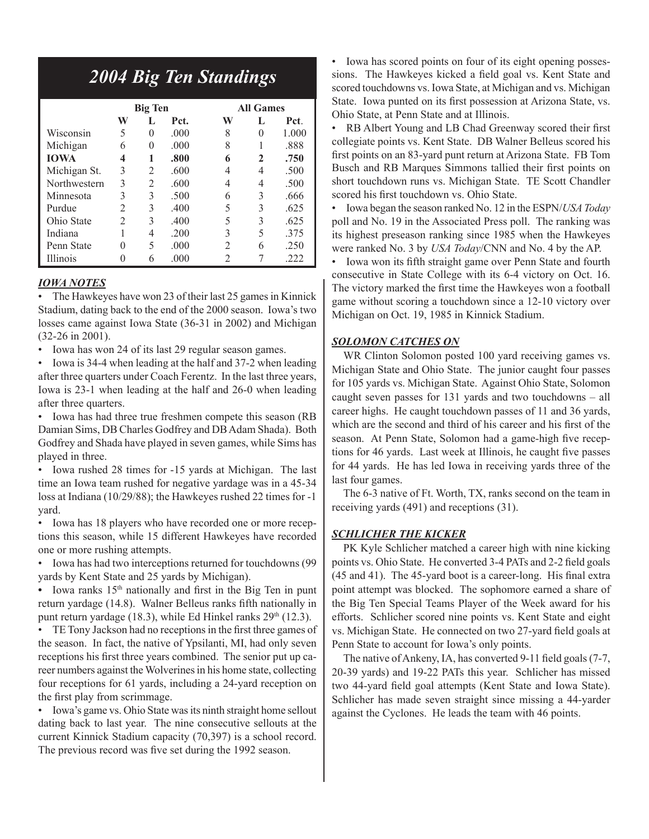# *2004 Big Ten Standings*

|                 |                | <b>Big Ten</b> |      | <b>All Games</b> |          |       |  |  |
|-----------------|----------------|----------------|------|------------------|----------|-------|--|--|
|                 | W              | L              | Pct. | W                | L        | Pct.  |  |  |
| Wisconsin       | 5              | $\theta$       | .000 | 8                | $\theta$ | 1.000 |  |  |
| Michigan        | 6              | 0              | .000 | 8                |          | .888  |  |  |
| <b>IOWA</b>     | 4              | 1              | .800 | 6                | 2        | .750  |  |  |
| Michigan St.    | 3              | 2              | .600 |                  | 4        | .500  |  |  |
| Northwestern    | 3              | $\overline{c}$ | .600 | 4                | 4        | .500  |  |  |
| Minnesota       | 3              | 3              | .500 | 6                | 3        | .666  |  |  |
| Purdue          | $\mathfrak{D}$ | 3              | .400 | 5                | 3        | .625  |  |  |
| Ohio State      | $\overline{2}$ | 3              | .400 | 5                | 3        | .625  |  |  |
| Indiana         |                | 4              | .200 | 3                | 5        | .375  |  |  |
| Penn State      | 0              | 5              | .000 | 2                | 6        | .250  |  |  |
| <b>Illinois</b> |                | 6              | .000 |                  |          | .222  |  |  |

#### *IOWA NOTES*

• The Hawkeyes have won 23 of their last 25 games in Kinnick Stadium, dating back to the end of the 2000 season. Iowa's two losses came against Iowa State (36-31 in 2002) and Michigan (32-26 in 2001).

• Iowa has won 24 of its last 29 regular season games.

• Iowa is 34-4 when leading at the half and 37-2 when leading after three quarters under Coach Ferentz. In the last three years, Iowa is 23-1 when leading at the half and 26-0 when leading after three quarters.

• Iowa has had three true freshmen compete this season (RB Damian Sims, DB Charles Godfrey and DB Adam Shada). Both Godfrey and Shada have played in seven games, while Sims has played in three.

• Iowa rushed 28 times for -15 yards at Michigan. The last time an Iowa team rushed for negative yardage was in a 45-34 loss at Indiana (10/29/88); the Hawkeyes rushed 22 times for -1 yard.

• Iowa has 18 players who have recorded one or more receptions this season, while 15 different Hawkeyes have recorded one or more rushing attempts.

• Iowa has had two interceptions returned for touchdowns (99 yards by Kent State and 25 yards by Michigan).

• Iowa ranks 15<sup>th</sup> nationally and first in the Big Ten in punt return yardage (14.8). Walner Belleus ranks fifth nationally in punt return yardage (18.3), while Ed Hinkel ranks  $29<sup>th</sup>$  (12.3).

• TE Tony Jackson had no receptions in the first three games of the season. In fact, the native of Ypsilanti, MI, had only seven receptions his first three years combined. The senior put up career numbers against the Wolverines in his home state, collecting four receptions for 61 yards, including a 24-yard reception on the first play from scrimmage.

• Iowa's game vs. Ohio State was its ninth straight home sellout dating back to last year. The nine consecutive sellouts at the current Kinnick Stadium capacity (70,397) is a school record. The previous record was five set during the 1992 season.

• Iowa has scored points on four of its eight opening possessions. The Hawkeyes kicked a field goal vs. Kent State and scored touchdowns vs. Iowa State, at Michigan and vs. Michigan State. Iowa punted on its first possession at Arizona State, vs. Ohio State, at Penn State and at Illinois.

• RB Albert Young and LB Chad Greenway scored their first collegiate points vs. Kent State. DB Walner Belleus scored his first points on an 83-yard punt return at Arizona State. FB Tom Busch and RB Marques Simmons tallied their first points on short touchdown runs vs. Michigan State. TE Scott Chandler scored his first touchdown vs. Ohio State.

• Iowa began the season ranked No. 12 in the ESPN/*USA Today* poll and No. 19 in the Associated Press poll. The ranking was its highest preseason ranking since 1985 when the Hawkeyes were ranked No. 3 by *USA Today*/CNN and No. 4 by the AP.

• Iowa won its fifth straight game over Penn State and fourth consecutive in State College with its 6-4 victory on Oct. 16. The victory marked the first time the Hawkeyes won a football game without scoring a touchdown since a 12-10 victory over Michigan on Oct. 19, 1985 in Kinnick Stadium.

#### *SOLOMON CATCHES ON*

WR Clinton Solomon posted 100 yard receiving games vs. Michigan State and Ohio State. The junior caught four passes for 105 yards vs. Michigan State. Against Ohio State, Solomon caught seven passes for 131 yards and two touchdowns – all career highs. He caught touchdown passes of 11 and 36 yards, which are the second and third of his career and his first of the season. At Penn State, Solomon had a game-high five receptions for 46 yards. Last week at Illinois, he caught five passes for 44 yards. He has led Iowa in receiving yards three of the last four games.

The 6-3 native of Ft. Worth, TX, ranks second on the team in receiving yards (491) and receptions (31).

#### *SCHLICHER THE KICKER*

PK Kyle Schlicher matched a career high with nine kicking points vs. Ohio State. He converted 3-4 PATs and 2-2 field goals (45 and 41). The 45-yard boot is a career-long. His final extra point attempt was blocked. The sophomore earned a share of the Big Ten Special Teams Player of the Week award for his efforts. Schlicher scored nine points vs. Kent State and eight vs. Michigan State. He connected on two 27-yard field goals at Penn State to account for Iowa's only points.

The native of Ankeny, IA, has converted 9-11 field goals (7-7, 20-39 yards) and 19-22 PATs this year. Schlicher has missed two 44-yard field goal attempts (Kent State and Iowa State). Schlicher has made seven straight since missing a 44-yarder against the Cyclones. He leads the team with 46 points.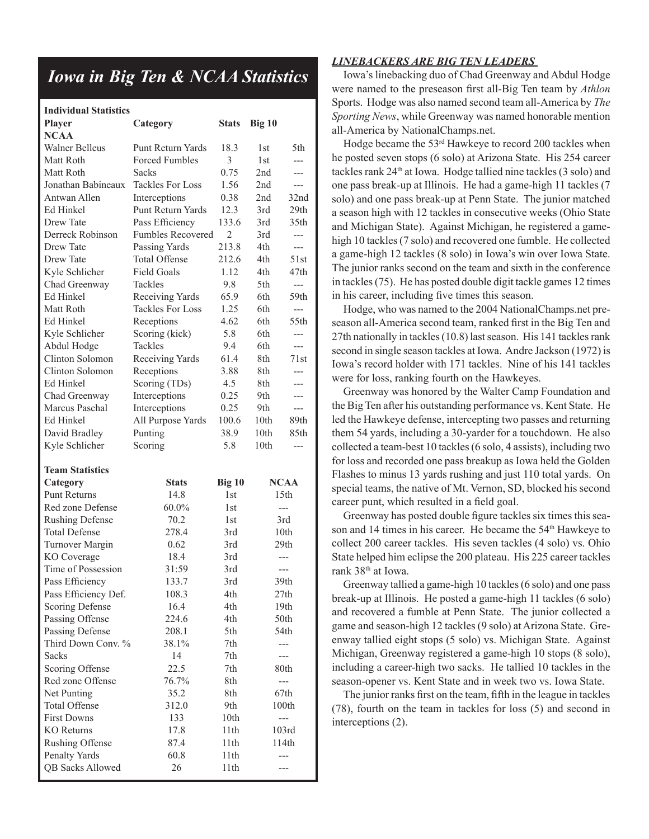## *Iowa in Big Ten & NCAA Statistics*

| <b>Individual Statistics</b>    |                          |                 |        |                  |
|---------------------------------|--------------------------|-----------------|--------|------------------|
| <b>Player</b>                   | Category                 | <b>Stats</b>    | Big 10 |                  |
| <b>NCAA</b>                     |                          |                 |        |                  |
| <b>Walner Belleus</b>           | Punt Return Yards        | 18.3            | 1st    | 5th.             |
| Matt Roth                       | <b>Forced Fumbles</b>    | 3               | 1st    | $---$            |
| Matt Roth                       | Sacks                    | 0.75            | 2nd    | ---              |
| Jonathan Babineaux              | <b>Tackles For Loss</b>  | 1.56            | 2nd    | ---              |
| Antwan Allen                    | Interceptions            | 0.38            | 2nd    | 32nd             |
| Ed Hinkel                       | <b>Punt Return Yards</b> | 12.3            | 3rd    | 29th             |
| Drew Tate                       | Pass Efficiency          | 133.6           | 3rd    | 35th             |
| Derreck Robinson                | <b>Fumbles Recovered</b> | $\overline{2}$  | 3rd    | $---$            |
| Drew Tate                       | Passing Yards            | 213.8           | 4th    | $---$            |
| Drew Tate                       | Total Offense            | 212.6           | 4th    | 51st             |
| Kyle Schlicher                  | <b>Field Goals</b>       | 1.12            | 4th    | 47th             |
| Chad Greenway                   | Tackles                  | 9.8             | 5th    | $\overline{a}$   |
| Ed Hinkel                       | Receiving Yards          | 65.9            | 6th    | 59th             |
| Matt Roth                       | <b>Tackles For Loss</b>  | 1.25            | 6th    | $\overline{a}$   |
| Ed Hinkel                       | Receptions               | 4.62            | 6th    | 55th             |
| Kyle Schlicher                  | Scoring (kick)           | 5.8             | 6th    | ---              |
| Abdul Hodge                     | <b>Tackles</b>           | 9.4             | 6th    | ---              |
| Clinton Solomon                 | Receiving Yards          | 61.4            | 8th    | 71st             |
| Clinton Solomon                 | Receptions               | 3.88            | 8th    |                  |
| Ed Hinkel                       | Scoring (TDs)            | 4.5             | 8th    |                  |
| Chad Greenway                   | Interceptions            | 0.25            | 9th    | ---              |
| Marcus Paschal                  | Interceptions            | 0.25            | 9th    | $---$            |
| Ed Hinkel                       | All Purpose Yards        | 100.6           | 10th   | 89th             |
| David Bradley                   | Punting                  | 38.9            | 10th   | 85th             |
| Kyle Schlicher                  | Scoring                  | 5.8             | 10th   | ---              |
|                                 |                          |                 |        |                  |
| <b>Team Statistics</b>          |                          |                 |        | <b>NCAA</b>      |
| Category<br><b>Punt Returns</b> | <b>Stats</b><br>14.8     | $Big$ 10<br>1st |        | 15 <sub>th</sub> |
|                                 |                          |                 |        |                  |
| Red zone Defense                | 60.0%                    | 1st             |        | $---$            |
| <b>Rushing Defense</b>          | 70.2                     | 1 <sub>st</sub> |        | 3rd              |
| <b>Total Defense</b>            | 278.4                    | 3rd             |        | 10th             |
| Turnover Margin                 | 0.62                     | 3rd             |        | 29th             |
| KO Coverage                     | 18.4                     | 3rd             |        | ---              |
| Time of Possession              | 31:59                    | 3rd             |        | $---$            |
| Pass Efficiency                 | 133.7                    | 3rd             |        | 39th             |
| Pass Efficiency Def.            | 108.3                    | 4th             |        | 27th             |
| Scoring Defense                 | 16.4                     | 4th             |        | 19th             |
| Passing Offense                 | 224.6                    | 4th             |        | 50th             |
| Passing Defense                 | 208.1                    | 5th             |        | 54th             |
| Third Down Conv. %              | 38.1%                    | 7th             |        |                  |
| <b>Sacks</b>                    | 14                       | 7th             |        |                  |
| Scoring Offense                 | 22.5                     | $7\mathrm{th}$  |        | 80th             |
| Red zone Offense                | 76.7%                    | 8th             |        | $---$            |
| Net Punting                     | 35.2                     | 8th             |        | 67th             |
| <b>Total Offense</b>            | 312.0                    | 9th             |        | 100th            |
| <b>First Downs</b>              | 133                      | 10th            |        | ---              |
| <b>KO</b> Returns               | 17.8                     | 11th            |        | 103rd            |
| <b>Rushing Offense</b>          | 87.4                     | 11th            |        | 114th            |
| Penalty Yards                   | 60.8                     | 11th            |        | ---              |
| <b>QB Sacks Allowed</b>         | 26                       | 11th            |        | ---              |

#### *LINEBACKERS ARE BIG TEN LEADERS*

Iowa's linebacking duo of Chad Greenway and Abdul Hodge were named to the preseason first all-Big Ten team by *Athlon* Sports. Hodge was also named second team all-America by *The Sporting News*, while Greenway was named honorable mention all-America by NationalChamps.net.

Hodge became the 53rd Hawkeye to record 200 tackles when he posted seven stops (6 solo) at Arizona State. His 254 career tackles rank 24th at Iowa. Hodge tallied nine tackles (3 solo) and one pass break-up at Illinois. He had a game-high 11 tackles (7 solo) and one pass break-up at Penn State. The junior matched a season high with 12 tackles in consecutive weeks (Ohio State and Michigan State). Against Michigan, he registered a gamehigh 10 tackles (7 solo) and recovered one fumble. He collected a game-high 12 tackles (8 solo) in Iowa's win over Iowa State. The junior ranks second on the team and sixth in the conference in tackles (75). He has posted double digit tackle games 12 times in his career, including five times this season.

Hodge, who was named to the 2004 NationalChamps.net preseason all-America second team, ranked first in the Big Ten and 27th nationally in tackles (10.8) last season. His 141 tackles rank second in single season tackles at Iowa. Andre Jackson (1972) is Iowa's record holder with 171 tackles. Nine of his 141 tackles were for loss, ranking fourth on the Hawkeyes.

Greenway was honored by the Walter Camp Foundation and the Big Ten after his outstanding performance vs. Kent State. He led the Hawkeye defense, intercepting two passes and returning them 54 yards, including a 30-yarder for a touchdown. He also collected a team-best 10 tackles (6 solo, 4 assists), including two for loss and recorded one pass breakup as Iowa held the Golden Flashes to minus 13 yards rushing and just 110 total yards. On special teams, the native of Mt. Vernon, SD, blocked his second career punt, which resulted in a field goal.

Greenway has posted double figure tackles six times this season and 14 times in his career. He became the 54<sup>th</sup> Hawkeye to collect 200 career tackles. His seven tackles (4 solo) vs. Ohio State helped him eclipse the 200 plateau. His 225 career tackles rank 38th at Iowa.

Greenway tallied a game-high 10 tackles (6 solo) and one pass break-up at Illinois. He posted a game-high 11 tackles (6 solo) and recovered a fumble at Penn State. The junior collected a game and season-high 12 tackles (9 solo) at Arizona State. Greenway tallied eight stops (5 solo) vs. Michigan State. Against Michigan, Greenway registered a game-high 10 stops (8 solo), including a career-high two sacks. He tallied 10 tackles in the season-opener vs. Kent State and in week two vs. Iowa State.

The junior ranks first on the team, fifth in the league in tackles (78), fourth on the team in tackles for loss (5) and second in interceptions (2).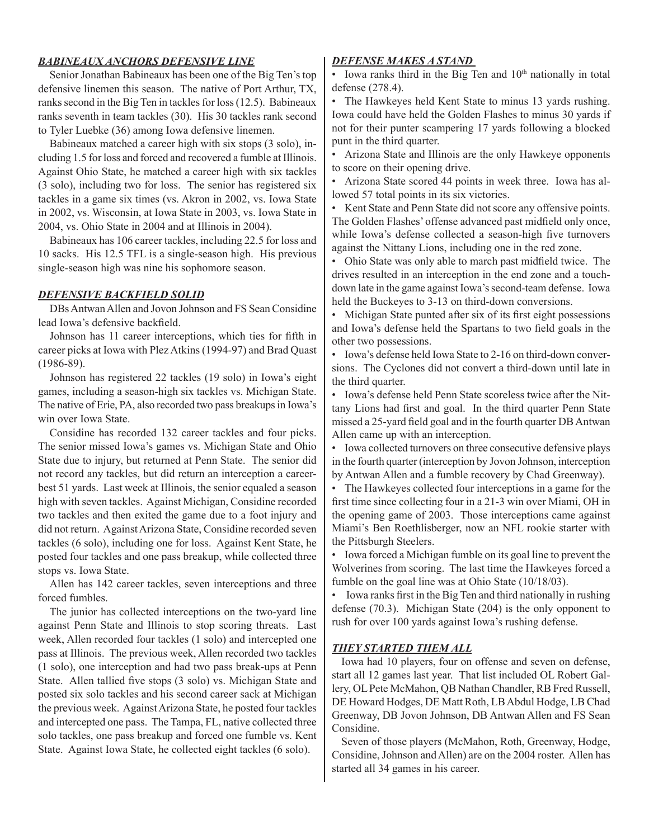#### *BABINEAUX ANCHORS DEFENSIVE LINE*

Senior Jonathan Babineaux has been one of the Big Ten's top defensive linemen this season. The native of Port Arthur, TX, ranks second in the Big Ten in tackles for loss (12.5). Babineaux ranks seventh in team tackles (30). His 30 tackles rank second to Tyler Luebke (36) among Iowa defensive linemen.

Babineaux matched a career high with six stops (3 solo), including 1.5 for loss and forced and recovered a fumble at Illinois. Against Ohio State, he matched a career high with six tackles (3 solo), including two for loss. The senior has registered six tackles in a game six times (vs. Akron in 2002, vs. Iowa State in 2002, vs. Wisconsin, at Iowa State in 2003, vs. Iowa State in 2004, vs. Ohio State in 2004 and at Illinois in 2004).

Babineaux has 106 career tackles, including 22.5 for loss and 10 sacks. His 12.5 TFL is a single-season high. His previous single-season high was nine his sophomore season.

#### *DEFENSIVE BACKFIELD SOLID*

DBs Antwan Allen and Jovon Johnson and FS Sean Considine lead Iowa's defensive backfield.

Johnson has 11 career interceptions, which ties for fifth in career picks at Iowa with Plez Atkins (1994-97) and Brad Quast (1986-89).

Johnson has registered 22 tackles (19 solo) in Iowa's eight games, including a season-high six tackles vs. Michigan State. The native of Erie, PA, also recorded two pass breakups in Iowa's win over Iowa State.

Considine has recorded 132 career tackles and four picks. The senior missed Iowa's games vs. Michigan State and Ohio State due to injury, but returned at Penn State. The senior did not record any tackles, but did return an interception a careerbest 51 yards. Last week at Illinois, the senior equaled a season high with seven tackles. Against Michigan, Considine recorded two tackles and then exited the game due to a foot injury and did not return. Against Arizona State, Considine recorded seven tackles (6 solo), including one for loss. Against Kent State, he posted four tackles and one pass breakup, while collected three stops vs. Iowa State.

Allen has 142 career tackles, seven interceptions and three forced fumbles.

The junior has collected interceptions on the two-yard line against Penn State and Illinois to stop scoring threats. Last week, Allen recorded four tackles (1 solo) and intercepted one pass at Illinois. The previous week, Allen recorded two tackles (1 solo), one interception and had two pass break-ups at Penn State. Allen tallied five stops (3 solo) vs. Michigan State and posted six solo tackles and his second career sack at Michigan the previous week. Against Arizona State, he posted four tackles and intercepted one pass. The Tampa, FL, native collected three solo tackles, one pass breakup and forced one fumble vs. Kent State. Against Iowa State, he collected eight tackles (6 solo).

#### *DEFENSE MAKES A STAND*

• Iowa ranks third in the Big Ten and  $10<sup>th</sup>$  nationally in total defense (278.4).

• The Hawkeyes held Kent State to minus 13 yards rushing. Iowa could have held the Golden Flashes to minus 30 yards if not for their punter scampering 17 yards following a blocked punt in the third quarter.

• Arizona State and Illinois are the only Hawkeye opponents to score on their opening drive.

• Arizona State scored 44 points in week three. Iowa has allowed 57 total points in its six victories.

• Kent State and Penn State did not score any offensive points. The Golden Flashes' offense advanced past midfield only once, while Iowa's defense collected a season-high five turnovers against the Nittany Lions, including one in the red zone.

• Ohio State was only able to march past midfield twice. The drives resulted in an interception in the end zone and a touchdown late in the game against Iowa's second-team defense. Iowa held the Buckeyes to 3-13 on third-down conversions.

• Michigan State punted after six of its first eight possessions and Iowa's defense held the Spartans to two field goals in the other two possessions.

• Iowa's defense held Iowa State to 2-16 on third-down conversions. The Cyclones did not convert a third-down until late in the third quarter.

• Iowa's defense held Penn State scoreless twice after the Nittany Lions had first and goal. In the third quarter Penn State missed a 25-yard field goal and in the fourth quarter DB Antwan Allen came up with an interception.

• Iowa collected turnovers on three consecutive defensive plays in the fourth quarter (interception by Jovon Johnson, interception by Antwan Allen and a fumble recovery by Chad Greenway).

• The Hawkeyes collected four interceptions in a game for the first time since collecting four in a 21-3 win over Miami, OH in the opening game of 2003. Those interceptions came against Miami's Ben Roethlisberger, now an NFL rookie starter with the Pittsburgh Steelers.

• Iowa forced a Michigan fumble on its goal line to prevent the Wolverines from scoring. The last time the Hawkeyes forced a fumble on the goal line was at Ohio State (10/18/03).

• Iowa ranks first in the Big Ten and third nationally in rushing defense (70.3). Michigan State (204) is the only opponent to rush for over 100 yards against Iowa's rushing defense.

#### *THEY STARTED THEM ALL*

 Iowa had 10 players, four on offense and seven on defense, start all 12 games last year. That list included OL Robert Gallery, OL Pete McMahon, QB Nathan Chandler, RB Fred Russell, DE Howard Hodges, DE Matt Roth, LB Abdul Hodge, LB Chad Greenway, DB Jovon Johnson, DB Antwan Allen and FS Sean Considine.

 Seven of those players (McMahon, Roth, Greenway, Hodge, Considine, Johnson and Allen) are on the 2004 roster. Allen has started all 34 games in his career.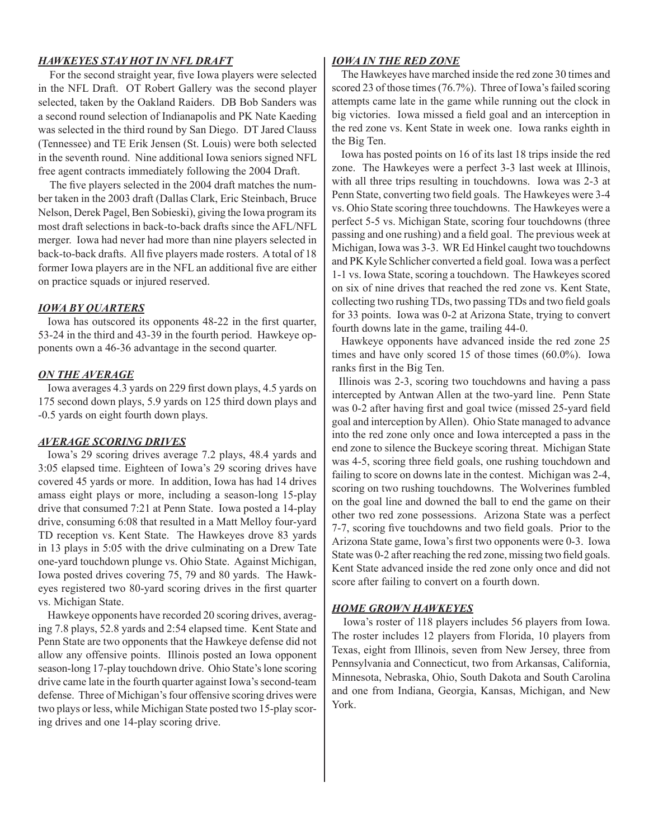#### *HAWKEYES STAY HOT IN NFL DRAFT*

For the second straight year, five Iowa players were selected in the NFL Draft. OT Robert Gallery was the second player selected, taken by the Oakland Raiders. DB Bob Sanders was a second round selection of Indianapolis and PK Nate Kaeding was selected in the third round by San Diego. DT Jared Clauss (Tennessee) and TE Erik Jensen (St. Louis) were both selected in the seventh round. Nine additional Iowa seniors signed NFL free agent contracts immediately following the 2004 Draft.

The five players selected in the 2004 draft matches the number taken in the 2003 draft (Dallas Clark, Eric Steinbach, Bruce Nelson, Derek Pagel, Ben Sobieski), giving the Iowa program its most draft selections in back-to-back drafts since the AFL/NFL merger. Iowa had never had more than nine players selected in back-to-back drafts. All five players made rosters. A total of 18 former Iowa players are in the NFL an additional five are either on practice squads or injured reserved.

#### *IOWA BY QUARTERS*

Iowa has outscored its opponents 48-22 in the first quarter, 53-24 in the third and 43-39 in the fourth period. Hawkeye opponents own a 46-36 advantage in the second quarter.

#### *ON THE AVERAGE*

 Iowa averages 4.3 yards on 229 first down plays, 4.5 yards on 175 second down plays, 5.9 yards on 125 third down plays and -0.5 yards on eight fourth down plays.

#### *AVERAGE SCORING DRIVES*

 Iowa's 29 scoring drives average 7.2 plays, 48.4 yards and 3:05 elapsed time. Eighteen of Iowa's 29 scoring drives have covered 45 yards or more. In addition, Iowa has had 14 drives amass eight plays or more, including a season-long 15-play drive that consumed 7:21 at Penn State. Iowa posted a 14-play drive, consuming 6:08 that resulted in a Matt Melloy four-yard TD reception vs. Kent State. The Hawkeyes drove 83 yards in 13 plays in 5:05 with the drive culminating on a Drew Tate one-yard touchdown plunge vs. Ohio State. Against Michigan, Iowa posted drives covering 75, 79 and 80 yards. The Hawkeyes registered two 80-yard scoring drives in the first quarter vs. Michigan State.

 Hawkeye opponents have recorded 20 scoring drives, averaging 7.8 plays, 52.8 yards and 2:54 elapsed time. Kent State and Penn State are two opponents that the Hawkeye defense did not allow any offensive points. Illinois posted an Iowa opponent season-long 17-play touchdown drive. Ohio State's lone scoring drive came late in the fourth quarter against Iowa's second-team defense. Three of Michigan's four offensive scoring drives were two plays or less, while Michigan State posted two 15-play scoring drives and one 14-play scoring drive.

#### *IOWA IN THE RED ZONE*

 The Hawkeyes have marched inside the red zone 30 times and scored 23 of those times (76.7%). Three of Iowa's failed scoring attempts came late in the game while running out the clock in big victories. Iowa missed a field goal and an interception in the red zone vs. Kent State in week one. Iowa ranks eighth in the Big Ten.

 Iowa has posted points on 16 of its last 18 trips inside the red zone. The Hawkeyes were a perfect 3-3 last week at Illinois, with all three trips resulting in touchdowns. Iowa was 2-3 at Penn State, converting two field goals. The Hawkeyes were 3-4 vs. Ohio State scoring three touchdowns. The Hawkeyes were a perfect 5-5 vs. Michigan State, scoring four touchdowns (three passing and one rushing) and a field goal. The previous week at Michigan, Iowa was 3-3. WR Ed Hinkel caught two touchdowns and PK Kyle Schlicher converted a field goal. Iowa was a perfect 1-1 vs. Iowa State, scoring a touchdown. The Hawkeyes scored on six of nine drives that reached the red zone vs. Kent State, collecting two rushing TDs, two passing TDs and two field goals for 33 points. Iowa was 0-2 at Arizona State, trying to convert fourth downs late in the game, trailing 44-0.

Hawkeye opponents have advanced inside the red zone 25 times and have only scored 15 of those times (60.0%). Iowa ranks first in the Big Ten.

 Illinois was 2-3, scoring two touchdowns and having a pass intercepted by Antwan Allen at the two-yard line. Penn State was 0-2 after having first and goal twice (missed 25-yard field goal and interception by Allen). Ohio State managed to advance into the red zone only once and Iowa intercepted a pass in the end zone to silence the Buckeye scoring threat. Michigan State was 4-5, scoring three field goals, one rushing touchdown and failing to score on downs late in the contest. Michigan was 2-4, scoring on two rushing touchdowns. The Wolverines fumbled on the goal line and downed the ball to end the game on their other two red zone possessions. Arizona State was a perfect 7-7, scoring five touchdowns and two field goals. Prior to the Arizona State game, Iowa's first two opponents were 0-3. Iowa State was 0-2 after reaching the red zone, missing two field goals. Kent State advanced inside the red zone only once and did not score after failing to convert on a fourth down.

#### *HOME GROWN HAWKEYES*

Iowa's roster of 118 players includes 56 players from Iowa. The roster includes 12 players from Florida, 10 players from Texas, eight from Illinois, seven from New Jersey, three from Pennsylvania and Connecticut, two from Arkansas, California, Minnesota, Nebraska, Ohio, South Dakota and South Carolina and one from Indiana, Georgia, Kansas, Michigan, and New York.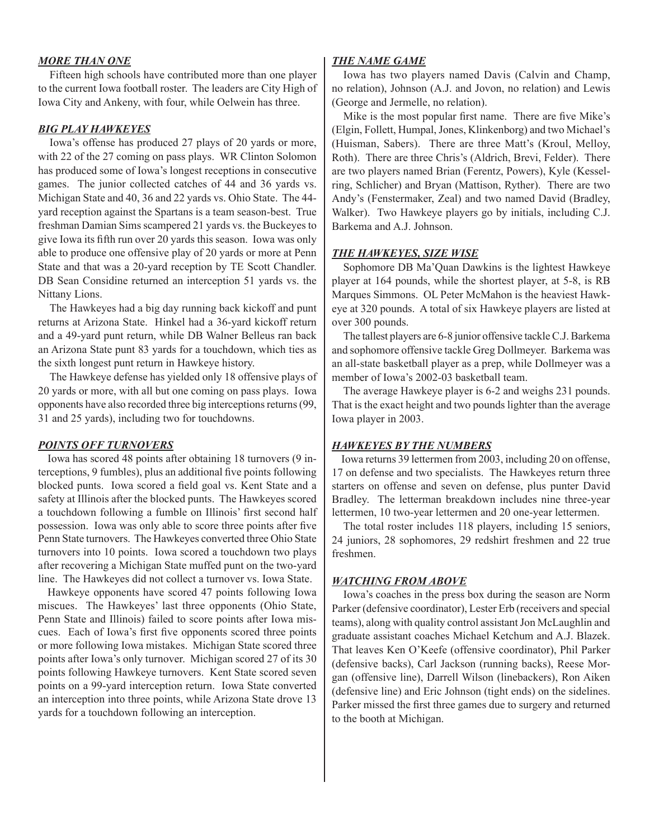#### *MORE THAN ONE*

Fifteen high schools have contributed more than one player to the current Iowa football roster. The leaders are City High of Iowa City and Ankeny, with four, while Oelwein has three.

#### *BIG PLAY HAWKEYES*

Iowa's offense has produced 27 plays of 20 yards or more, with 22 of the 27 coming on pass plays. WR Clinton Solomon has produced some of Iowa's longest receptions in consecutive games. The junior collected catches of 44 and 36 yards vs. Michigan State and 40, 36 and 22 yards vs. Ohio State. The 44 yard reception against the Spartans is a team season-best. True freshman Damian Sims scampered 21 yards vs. the Buckeyes to give Iowa its fifth run over 20 yards this season. Iowa was only able to produce one offensive play of 20 yards or more at Penn State and that was a 20-yard reception by TE Scott Chandler. DB Sean Considine returned an interception 51 yards vs. the Nittany Lions.

The Hawkeyes had a big day running back kickoff and punt returns at Arizona State. Hinkel had a 36-yard kickoff return and a 49-yard punt return, while DB Walner Belleus ran back an Arizona State punt 83 yards for a touchdown, which ties as the sixth longest punt return in Hawkeye history.

The Hawkeye defense has yielded only 18 offensive plays of 20 yards or more, with all but one coming on pass plays. Iowa opponents have also recorded three big interceptions returns (99, 31 and 25 yards), including two for touchdowns.

#### *POINTS OFF TURNOVERS*

 Iowa has scored 48 points after obtaining 18 turnovers (9 interceptions, 9 fumbles), plus an additional five points following blocked punts. Iowa scored a field goal vs. Kent State and a safety at Illinois after the blocked punts. The Hawkeyes scored a touchdown following a fumble on Illinois' first second half possession. Iowa was only able to score three points after five Penn State turnovers. The Hawkeyes converted three Ohio State turnovers into 10 points. Iowa scored a touchdown two plays after recovering a Michigan State muffed punt on the two-yard line. The Hawkeyes did not collect a turnover vs. Iowa State.

 Hawkeye opponents have scored 47 points following Iowa miscues. The Hawkeyes' last three opponents (Ohio State, Penn State and Illinois) failed to score points after Iowa miscues. Each of Iowa's first five opponents scored three points or more following Iowa mistakes. Michigan State scored three points after Iowa's only turnover. Michigan scored 27 of its 30 points following Hawkeye turnovers. Kent State scored seven points on a 99-yard interception return. Iowa State converted an interception into three points, while Arizona State drove 13 yards for a touchdown following an interception.

#### *THE NAME GAME*

Iowa has two players named Davis (Calvin and Champ, no relation), Johnson (A.J. and Jovon, no relation) and Lewis (George and Jermelle, no relation).

Mike is the most popular first name. There are five Mike's (Elgin, Follett, Humpal, Jones, Klinkenborg) and two Michael's (Huisman, Sabers). There are three Matt's (Kroul, Melloy, Roth). There are three Chris's (Aldrich, Brevi, Felder). There are two players named Brian (Ferentz, Powers), Kyle (Kesselring, Schlicher) and Bryan (Mattison, Ryther). There are two Andy's (Fenstermaker, Zeal) and two named David (Bradley, Walker). Two Hawkeye players go by initials, including C.J. Barkema and A.J. Johnson.

#### *THE HAWKEYES, SIZE WISE*

Sophomore DB Ma'Quan Dawkins is the lightest Hawkeye player at 164 pounds, while the shortest player, at 5-8, is RB Marques Simmons. OL Peter McMahon is the heaviest Hawkeye at 320 pounds. A total of six Hawkeye players are listed at over 300 pounds.

The tallest players are 6-8 junior offensive tackle C.J. Barkema and sophomore offensive tackle Greg Dollmeyer. Barkema was an all-state basketball player as a prep, while Dollmeyer was a member of Iowa's 2002-03 basketball team.

The average Hawkeye player is 6-2 and weighs 231 pounds. That is the exact height and two pounds lighter than the average Iowa player in 2003.

#### *HAWKEYES BY THE NUMBERS*

 Iowa returns 39 lettermen from 2003, including 20 on offense, 17 on defense and two specialists. The Hawkeyes return three starters on offense and seven on defense, plus punter David Bradley. The letterman breakdown includes nine three-year lettermen, 10 two-year lettermen and 20 one-year lettermen.

The total roster includes 118 players, including 15 seniors, 24 juniors, 28 sophomores, 29 redshirt freshmen and 22 true freshmen.

#### *WATCHING FROM ABOVE*

Iowa's coaches in the press box during the season are Norm Parker (defensive coordinator), Lester Erb (receivers and special teams), along with quality control assistant Jon McLaughlin and graduate assistant coaches Michael Ketchum and A.J. Blazek. That leaves Ken O'Keefe (offensive coordinator), Phil Parker (defensive backs), Carl Jackson (running backs), Reese Morgan (offensive line), Darrell Wilson (linebackers), Ron Aiken (defensive line) and Eric Johnson (tight ends) on the sidelines. Parker missed the first three games due to surgery and returned to the booth at Michigan.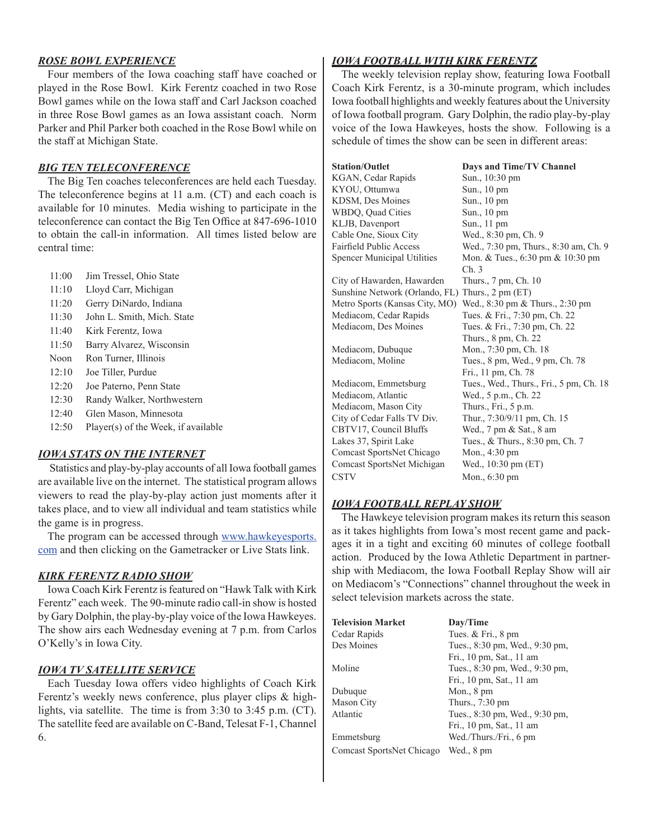#### *ROSE BOWL EXPERIENCE*

Four members of the Iowa coaching staff have coached or played in the Rose Bowl. Kirk Ferentz coached in two Rose Bowl games while on the Iowa staff and Carl Jackson coached in three Rose Bowl games as an Iowa assistant coach. Norm Parker and Phil Parker both coached in the Rose Bowl while on the staff at Michigan State.

#### *BIG TEN TELECONFERENCE*

 The Big Ten coaches teleconferences are held each Tuesday. The teleconference begins at 11 a.m. (CT) and each coach is available for 10 minutes. Media wishing to participate in the teleconference can contact the Big Ten Office at 847-696-1010 to obtain the call-in information. All times listed below are central time:

- 11:00 Jim Tressel, Ohio State
- 11:10 Lloyd Carr, Michigan
- 11:20 Gerry DiNardo, Indiana
- 11:30 John L. Smith, Mich. State
- 11:40 Kirk Ferentz, Iowa
- 11:50 Barry Alvarez, Wisconsin
- Noon Ron Turner, Illinois
- 12:10 Joe Tiller, Purdue
- 12:20 Joe Paterno, Penn State
- 12:30 Randy Walker, Northwestern
- 12:40 Glen Mason, Minnesota
- 12:50 Player(s) of the Week, if available

#### *IOWA STATS ON THE INTERNET*

Statistics and play-by-play accounts of all Iowa football games are available live on the internet. The statistical program allows viewers to read the play-by-play action just moments after it takes place, and to view all individual and team statistics while the game is in progress.

 The program can be accessed through www.hawkeyesports. com and then clicking on the Gametracker or Live Stats link.

#### *KIRK FERENTZ RADIO SHOW*

 Iowa Coach Kirk Ferentz is featured on "Hawk Talk with Kirk Ferentz" each week. The 90-minute radio call-in show is hosted by Gary Dolphin, the play-by-play voice of the Iowa Hawkeyes. The show airs each Wednesday evening at 7 p.m. from Carlos O'Kelly's in Iowa City.

#### *IOWA TV SATELLITE SERVICE*

 Each Tuesday Iowa offers video highlights of Coach Kirk Ferentz's weekly news conference, plus player clips & highlights, via satellite. The time is from 3:30 to 3:45 p.m. (CT). The satellite feed are available on C-Band, Telesat F-1, Channel 6.

#### *IOWA FOOTBALL WITH KIRK FERENTZ*

 The weekly television replay show, featuring Iowa Football Coach Kirk Ferentz, is a 30-minute program, which includes Iowa football highlights and weekly features about the University of Iowa football program. Gary Dolphin, the radio play-by-play voice of the Iowa Hawkeyes, hosts the show. Following is a schedule of times the show can be seen in different areas:

| <b>Station/Outlet</b>              | Days and Time/TV Channel                            |
|------------------------------------|-----------------------------------------------------|
| KGAN, Cedar Rapids                 | Sun., 10:30 pm                                      |
| KYOU, Ottumwa                      | Sun., 10 pm                                         |
| KDSM, Des Moines                   | Sun., 10 pm                                         |
| WBDQ, Quad Cities                  | Sun., 10 pm                                         |
| KLJB, Davenport                    | Sun., 11 pm                                         |
| Cable One, Sioux City              | Wed., 8:30 pm, Ch. 9                                |
| Fairfield Public Access            | Wed., 7:30 pm, Thurs., 8:30 am, Ch. 9               |
| <b>Spencer Municipal Utilities</b> | Mon. & Tues., $6:30 \text{ pm} \& 10:30 \text{ pm}$ |
|                                    | Ch.3                                                |
| City of Hawarden, Hawarden         | Thurs., 7 pm, Ch. 10                                |
| Sunshine Network (Orlando, FL)     | Thurs., $2 \text{ pm (ET)}$                         |
| Metro Sports (Kansas City, MO)     | Wed., 8:30 pm & Thurs., 2:30 pm                     |
| Mediacom, Cedar Rapids             | Tues. & Fri., 7:30 pm, Ch. 22                       |
| Mediacom, Des Moines               | Tues. & Fri., 7:30 pm, Ch. 22                       |
|                                    | Thurs., 8 pm, Ch. 22                                |
| Mediacom, Dubuque                  | Mon., 7:30 pm, Ch. 18                               |
| Mediacom, Moline                   | Tues., 8 pm, Wed., 9 pm, Ch. 78                     |
|                                    | Fri., 11 pm, Ch. 78                                 |
| Mediacom, Emmetsburg               | Tues., Wed., Thurs., Fri., 5 pm, Ch. 18             |
| Mediacom, Atlantic                 | Wed., 5 p.m., Ch. 22                                |
| Mediacom, Mason City               | Thurs., Fri., 5 p.m.                                |
| City of Cedar Falls TV Div.        | Thur., 7:30/9/11 pm, Ch. 15                         |
| CBTV17, Council Bluffs             | Wed., 7 pm & Sat., 8 am                             |
| Lakes 37, Spirit Lake              | Tues., & Thurs., 8:30 pm, Ch. 7                     |
| Comcast SportsNet Chicago          | Mon., $4:30 \text{ pm}$                             |
| Comcast SportsNet Michigan         | Wed., 10:30 pm (ET)                                 |
| <b>CSTV</b>                        | Mon., $6:30 \text{ pm}$                             |

#### *IOWA FOOTBALL REPLAY SHOW*

 The Hawkeye television program makes its return this season as it takes highlights from Iowa's most recent game and packages it in a tight and exciting 60 minutes of college football action. Produced by the Iowa Athletic Department in partnership with Mediacom, the Iowa Football Replay Show will air on Mediacom's "Connections" channel throughout the week in select television markets across the state.

| <b>Television Market</b>  | Day/Time                       |
|---------------------------|--------------------------------|
| Cedar Rapids              | Tues. $&$ Fri., $&$ pm         |
| Des Moines                | Tues., 8:30 pm, Wed., 9:30 pm, |
|                           | Fri., 10 pm, Sat., 11 am       |
| Moline                    | Tues., 8:30 pm, Wed., 9:30 pm, |
|                           | Fri., 10 pm, Sat., 11 am       |
| Dubuque                   | Mon., $8 \text{ pm}$           |
| Mason City                | Thurs., 7:30 pm                |
| Atlantic                  | Tues., 8:30 pm, Wed., 9:30 pm, |
|                           | Fri., 10 pm, Sat., 11 am       |
| Emmetsburg                | Wed./Thurs./Fri., 6 pm         |
| Comcast SportsNet Chicago | Wed., 8 pm                     |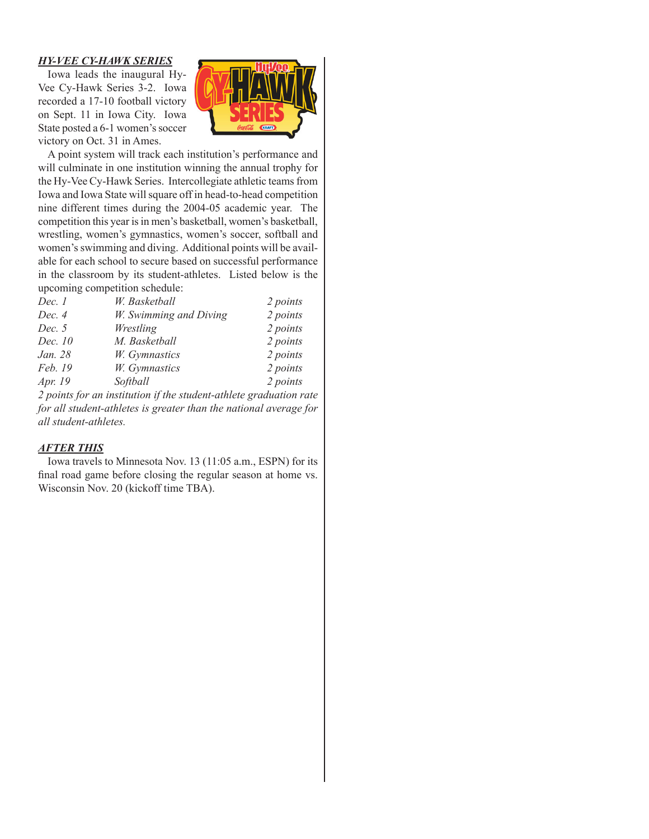#### *HY-VEE CY-HAWK SERIES*

 Iowa leads the inaugural Hy-Vee Cy-Hawk Series 3-2. Iowa recorded a 17-10 football victory on Sept. 11 in Iowa City. Iowa State posted a 6-1 women's soccer victory on Oct. 31 in Ames.



 A point system will track each institution's performance and will culminate in one institution winning the annual trophy for the Hy-Vee Cy-Hawk Series. Intercollegiate athletic teams from Iowa and Iowa State will square off in head-to-head competition nine different times during the 2004-05 academic year. The competition this year is in men's basketball, women's basketball, wrestling, women's gymnastics, women's soccer, softball and women's swimming and diving. Additional points will be available for each school to secure based on successful performance in the classroom by its student-athletes. Listed below is the upcoming competition schedule:

| Dec. 1  | W. Basketball                                                       | 2 points |
|---------|---------------------------------------------------------------------|----------|
| Dec. 4  | W. Swimming and Diving                                              | 2 points |
| Dec. 5  | Wrestling                                                           | 2 points |
| Dec. 10 | M. Basketball                                                       | 2 points |
| Jan. 28 | W. Gymnastics                                                       | 2 points |
| Feb. 19 | W. Gymnastics                                                       | 2 points |
| Apr. 19 | Softball                                                            | 2 points |
|         | 2 nointe lon en institution il des student stellate ons duration nu |          |

*2 points for an institution if the student-athlete graduation rate for all student-athletes is greater than the national average for all student-athletes.*

#### *AFTER THIS*

 Iowa travels to Minnesota Nov. 13 (11:05 a.m., ESPN) for its final road game before closing the regular season at home vs. Wisconsin Nov. 20 (kickoff time TBA).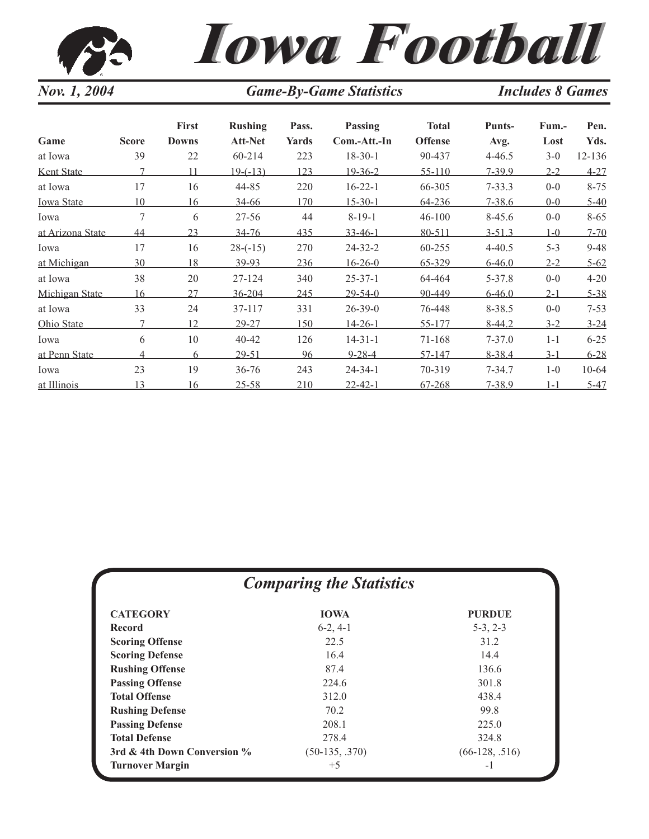| Nov. 1, 2004      |              |                              | <b>Game-By-Game Statistics</b>   |                | <b>Includes 8 Games</b> |                                |                       |               |              |
|-------------------|--------------|------------------------------|----------------------------------|----------------|-------------------------|--------------------------------|-----------------------|---------------|--------------|
| Game              | <b>Score</b> | <b>First</b><br><b>Downs</b> | <b>Rushing</b><br><b>Att-Net</b> | Pass.<br>Yards | Passing<br>Com.-Att.-In | <b>Total</b><br><b>Offense</b> | <b>Punts-</b><br>Avg. | Fum.-<br>Lost | Pen.<br>Yds. |
| at Iowa           | 39           | 22                           | 60-214                           | 223            | $18-30-1$               | 90-437                         | $4 - 46.5$            | $3 - 0$       | 12-136       |
| Kent State        | 7            | 11                           | <u>19-(-13)</u>                  | 123            | $19 - 36 - 2$           | $55 - 110$                     | $7 - 39.9$            | $2 - 2$       | $4 - 27$     |
| at Iowa           | 17           | 16                           | 44-85                            | 220            | $16 - 22 - 1$           | 66-305                         | $7 - 33.3$            | $0-0$         | $8 - 75$     |
| <b>Iowa State</b> | 10           | 16                           | $34 - 66$                        | 170            | $15 - 30 - 1$           | 64-236                         | $7 - 38.6$            | $0 - 0$       | $5 - 40$     |
| Iowa              | 7            | 6                            | $27 - 56$                        | 44             | $8 - 19 - 1$            | $46 - 100$                     | $8-45.6$              | $0-0$         | $8 - 65$     |
| at Arizona State  | 44           | 23                           | $34 - 76$                        | 435            | $33 - 46 - 1$           | 80-511                         | $3 - 51.3$            | $1-0$         | $7 - 70$     |
| Iowa              | 17           | 16                           | $28 - (-15)$                     | 270            | $24 - 32 - 2$           | 60-255                         | $4 - 40.5$            | $5 - 3$       | $9 - 48$     |
| at Michigan       | 30           | 18                           | 39-93                            | 236            | $16 - 26 - 0$           | 65-329                         | $6 - 46.0$            | $2 - 2$       | $5 - 62$     |
| at Iowa           | 38           | 20                           | 27-124                           | 340            | $25 - 37 - 1$           | 64-464                         | 5-37.8                | $0 - 0$       | $4 - 20$     |
| Michigan State    | 16           | 27                           | 36-204                           | 245            | $29 - 54 - 0$           | 90-449                         | $6 - 46.0$            | $2 - 1$       | $5 - 38$     |
| at Iowa           | 33           | 24                           | 37-117                           | 331            | $26 - 39 - 0$           | 76-448                         | 8-38.5                | $0 - 0$       | $7 - 53$     |
| Ohio State        | 7            | 12                           | 29-27                            | 150            | $14 - 26 - 1$           | 55-177                         | $8 - 44.2$            | $3 - 2$       | $3 - 24$     |
| Iowa              | 6            | 10                           | 40-42                            | 126            | $14 - 31 - 1$           | 71-168                         | $7 - 37.0$            | $1 - 1$       | $6 - 25$     |
| at Penn State     | 4            | 6                            | $29 - 51$                        | 96             | $9 - 28 - 4$            | 57-147                         | $8 - 38.4$            | $3 - 1$       | $6 - 28$     |
| Iowa              | 23           | 19                           | $36 - 76$                        | 243            | $24 - 34 - 1$           | 70-319                         | $7 - 34.7$            | $1-0$         | $10 - 64$    |
| at Illinois       | 13           | 16                           | $25 - 58$                        | 210            | $22 - 42 - 1$           | $67 - 268$                     | $7 - 38.9$            | $1 - 1$       | $5 - 47$     |

| <b>Comparing the Statistics</b> |                  |                  |  |  |  |  |  |  |
|---------------------------------|------------------|------------------|--|--|--|--|--|--|
| <b>CATEGORY</b>                 | <b>IOWA</b>      | <b>PURDUE</b>    |  |  |  |  |  |  |
| Record                          | $6-2, 4-1$       | $5-3, 2-3$       |  |  |  |  |  |  |
| <b>Scoring Offense</b>          | 22.5             | 31.2             |  |  |  |  |  |  |
| <b>Scoring Defense</b>          | 16.4             | 14.4             |  |  |  |  |  |  |
| <b>Rushing Offense</b>          | 87.4             | 136.6            |  |  |  |  |  |  |
| <b>Passing Offense</b>          | 224.6            | 301.8            |  |  |  |  |  |  |
| <b>Total Offense</b>            | 312.0            | 438.4            |  |  |  |  |  |  |
| <b>Rushing Defense</b>          | 70.2             | 99.8             |  |  |  |  |  |  |
| <b>Passing Defense</b>          | 208.1            | 225.0            |  |  |  |  |  |  |
| <b>Total Defense</b>            | 278.4            | 324.8            |  |  |  |  |  |  |
| 3rd & 4th Down Conversion %     | $(50-135, .370)$ | $(66-128, .516)$ |  |  |  |  |  |  |
| <b>Turnover Margin</b>          | $+5$             | $-1$             |  |  |  |  |  |  |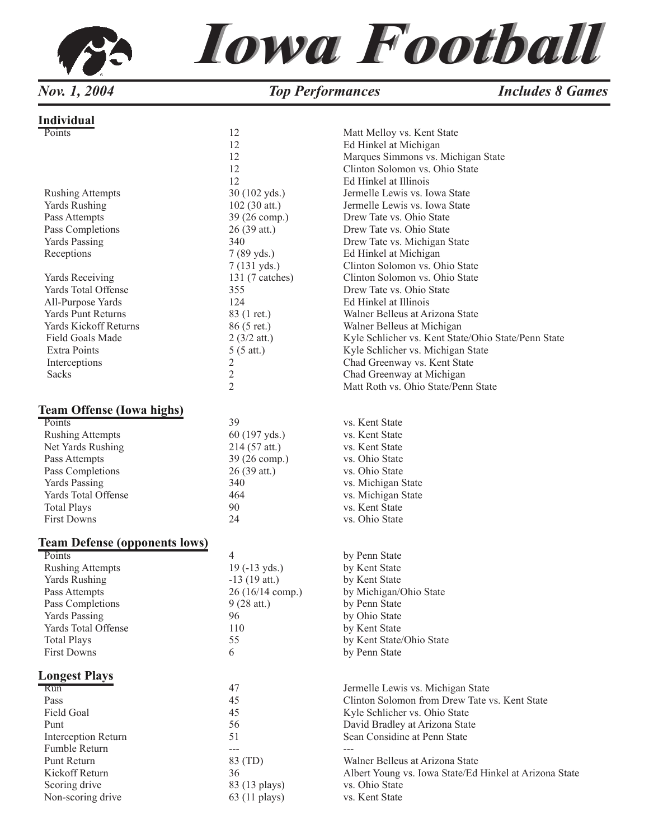

# *Iowa Football Iowa Football*

*Nov. 1, 2004 Top Performances Includes 8 Games* 

#### **Individual**

| Points                               | 12                     | Matt Melloy vs. Kent State                             |
|--------------------------------------|------------------------|--------------------------------------------------------|
|                                      | 12                     | Ed Hinkel at Michigan                                  |
|                                      | 12                     | Marques Simmons vs. Michigan State                     |
|                                      | 12                     | Clinton Solomon vs. Ohio State                         |
|                                      | 12                     | Ed Hinkel at Illinois                                  |
|                                      | 30 (102 yds.)          | Jermelle Lewis vs. Iowa State                          |
| <b>Rushing Attempts</b>              |                        |                                                        |
| Yards Rushing                        | 102 (30 att.)          | Jermelle Lewis vs. Iowa State                          |
| Pass Attempts                        | 39 (26 comp.)          | Drew Tate vs. Ohio State                               |
| Pass Completions                     | 26 (39 att.)           | Drew Tate vs. Ohio State                               |
| Yards Passing                        | 340                    | Drew Tate vs. Michigan State                           |
| Receptions                           | $7(89 \text{ yds.})$   | Ed Hinkel at Michigan                                  |
|                                      | $7(131 \text{ yds.})$  | Clinton Solomon vs. Ohio State                         |
| Yards Receiving                      | 131 (7 catches)        | Clinton Solomon vs. Ohio State                         |
|                                      |                        |                                                        |
| Yards Total Offense                  | 355                    | Drew Tate vs. Ohio State                               |
| All-Purpose Yards                    | 124                    | Ed Hinkel at Illinois                                  |
| <b>Yards Punt Returns</b>            | 83 (1 ret.)            | Walner Belleus at Arizona State                        |
| Yards Kickoff Returns                | 86 (5 ret.)            | Walner Belleus at Michigan                             |
| Field Goals Made                     | $2(3/2$ att.)          | Kyle Schlicher vs. Kent State/Ohio State/Penn State    |
| Extra Points                         | $5(5 \text{ att.})$    | Kyle Schlicher vs. Michigan State                      |
| Interceptions                        | $\overline{c}$         | Chad Greenway vs. Kent State                           |
| Sacks                                |                        |                                                        |
|                                      | $\overline{c}$         | Chad Greenway at Michigan                              |
|                                      | $\overline{2}$         | Matt Roth vs. Ohio State/Penn State                    |
| <b>Team Offense (Iowa highs)</b>     |                        |                                                        |
| Points                               | 39                     | vs. Kent State                                         |
| <b>Rushing Attempts</b>              | 60 (197 yds.)          | vs. Kent State                                         |
| Net Yards Rushing                    | 214 (57 att.)          | vs. Kent State                                         |
|                                      |                        |                                                        |
| Pass Attempts                        | 39 (26 comp.)          | vs. Ohio State                                         |
| Pass Completions                     | 26 (39 att.)           | vs. Ohio State                                         |
| <b>Yards Passing</b>                 | 340                    | vs. Michigan State                                     |
| Yards Total Offense                  | 464                    | vs. Michigan State                                     |
| <b>Total Plays</b>                   | 90                     | vs. Kent State                                         |
| <b>First Downs</b>                   | 24                     | vs. Ohio State                                         |
| <b>Team Defense (opponents lows)</b> |                        |                                                        |
| Points                               | 4                      | by Penn State                                          |
| <b>Rushing Attempts</b>              | $19(-13 \text{ yds.})$ | by Kent State                                          |
|                                      |                        |                                                        |
| <b>Yards Rushing</b>                 | $-13(19$ att.)         | by Kent State                                          |
| Pass Attempts                        | 26 (16/14 comp.)       | by Michigan/Ohio State                                 |
| Pass Completions                     | $9(28$ att.)           | by Penn State                                          |
| <b>Yards Passing</b>                 | 96                     | by Ohio State                                          |
| Yards Total Offense                  | 110                    | by Kent State                                          |
| <b>Total Plays</b>                   | 55                     | by Kent State/Ohio State                               |
| <b>First Downs</b>                   | 6                      | by Penn State                                          |
|                                      |                        |                                                        |
| <b>Longest Plays</b>                 |                        |                                                        |
| <b>Run</b>                           | 47                     | Jermelle Lewis vs. Michigan State                      |
| Pass                                 | 45                     | Clinton Solomon from Drew Tate vs. Kent State          |
| Field Goal                           | 45                     | Kyle Schlicher vs. Ohio State                          |
| Punt                                 | 56                     | David Bradley at Arizona State                         |
| Interception Return                  | 51                     | Sean Considine at Penn State                           |
| Fumble Return                        | ---                    |                                                        |
| Punt Return                          | 83 (TD)                | Walner Belleus at Arizona State                        |
| Kickoff Return                       | 36                     | Albert Young vs. Iowa State/Ed Hinkel at Arizona State |
|                                      |                        | vs. Ohio State                                         |
| Scoring drive                        | 83 (13 plays)          |                                                        |
| Non-scoring drive                    | 63 (11 plays)          | vs. Kent State                                         |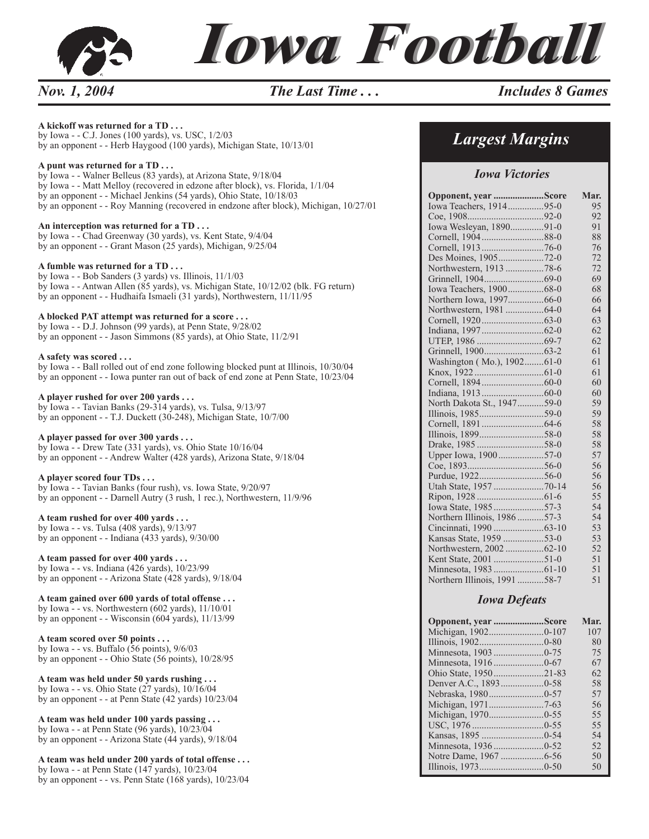

#### **A kickoff was returned for a TD . . .**

by Iowa - - C.J. Jones (100 yards), vs. USC, 1/2/03 by an opponent - - Herb Haygood (100 yards), Michigan State, 10/13/01

#### **A punt was returned for a TD . . .**

by Iowa - - Walner Belleus (83 yards), at Arizona State, 9/18/04 by Iowa - - Matt Melloy (recovered in edzone after block), vs. Florida, 1/1/04 by an opponent - - Michael Jenkins (54 yards), Ohio State, 10/18/03 by an opponent - - Roy Manning (recovered in endzone after block), Michigan, 10/27/01

#### **An interception was returned for a TD . . .**

by Iowa - - Chad Greenway (30 yards), vs. Kent State, 9/4/04 by an opponent - - Grant Mason (25 yards), Michigan, 9/25/04

#### **A fumble was returned for a TD . . .**

by Iowa - - Bob Sanders (3 yards) vs. Illinois, 11/1/03 by Iowa - - Antwan Allen (85 yards), vs. Michigan State, 10/12/02 (blk. FG return) by an opponent - - Hudhaifa Ismaeli (31 yards), Northwestern, 11/11/95

#### **A blocked PAT attempt was returned for a score . . .**

by Iowa - - D.J. Johnson (99 yards), at Penn State, 9/28/02 by an opponent - - Jason Simmons (85 yards), at Ohio State, 11/2/91

#### **A safety was scored . . .**

by Iowa - - Ball rolled out of end zone following blocked punt at Illinois, 10/30/04 by an opponent - - Iowa punter ran out of back of end zone at Penn State, 10/23/04

#### **A player rushed for over 200 yards . . .**

by Iowa - - Tavian Banks (29-314 yards), vs. Tulsa, 9/13/97 by an opponent - - T.J. Duckett (30-248), Michigan State, 10/7/00

#### **A player passed for over 300 yards . . .**

by Iowa - - Drew Tate (331 yards), vs. Ohio State 10/16/04 by an opponent - - Andrew Walter (428 yards), Arizona State, 9/18/04

#### **A player scored four TDs . . .**

by Iowa - - Tavian Banks (four rush), vs. Iowa State, 9/20/97 by an opponent - - Darnell Autry (3 rush, 1 rec.), Northwestern, 11/9/96

#### **A team rushed for over 400 yards . . .**

by Iowa - - vs. Tulsa (408 yards), 9/13/97 by an opponent - - Indiana (433 yards), 9/30/00

#### **A team passed for over 400 yards . . .**

by Iowa - - vs. Indiana (426 yards), 10/23/99 by an opponent - - Arizona State (428 yards), 9/18/04

#### **A team gained over 600 yards of total offense . . .**

by Iowa - - vs. Northwestern (602 yards), 11/10/01 by an opponent - - Wisconsin (604 yards), 11/13/99

#### **A team scored over 50 points . . .**

by Iowa - - vs. Buffalo (56 points), 9/6/03 by an opponent - - Ohio State (56 points), 10/28/95

#### **A team was held under 50 yards rushing . . .**

by Iowa - - vs. Ohio State (27 yards), 10/16/04 by an opponent - - at Penn State (42 yards) 10/23/04

#### **A team was held under 100 yards passing . . .**

by Iowa - - at Penn State (96 yards), 10/23/04 by an opponent - - Arizona State (44 yards), 9/18/04

#### **A team was held under 200 yards of total offense . . .**

by Iowa - - at Penn State (147 yards), 10/23/04 by an opponent - - vs. Penn State (168 yards), 10/23/04

## *Largest Margins*

#### *Iowa Victories*

| Opponent, year Score         | Mar. |
|------------------------------|------|
| Iowa Teachers, 191495-0      | 95   |
|                              | 92   |
| Iowa Wesleyan, 189091-0      | 91   |
| Cornell, 190488-0            | 88   |
|                              | 76   |
| Des Moines, 190572-0         | 72   |
| Northwestern, 1913 78-6      | 72   |
|                              | 69   |
| Iowa Teachers, 190068-0      | 68   |
| Northern Iowa, 199766-0      | 66   |
| Northwestern, 1981 64-0      | 64   |
|                              | 63   |
|                              | 62   |
|                              | 62   |
|                              | 61   |
| Washington (Mo.), 190261-0   | 61   |
|                              | 61   |
|                              | 60   |
|                              | 60   |
| North Dakota St., 194759-0   | 59   |
|                              | 59   |
|                              | 58   |
|                              | 58   |
|                              | 58   |
| Upper Iowa, 190057-0         | 57   |
|                              | 56   |
|                              | 56   |
|                              | 56   |
|                              | 55   |
| Iowa State, 198557-3         | 54   |
| Northern Illinois, 1986 57-3 | 54   |
|                              | 53   |
| Kansas State, 1959 53-0      | 53   |
| Northwestern, 2002 62-10     | 52   |
|                              | 51   |
|                              | 51   |
| Northern Illinois, 1991 58-7 | 51   |

#### *Iowa Defeats*

| Opponent, year Score | Mar. |
|----------------------|------|
|                      | 107  |
|                      | 80   |
|                      | 75   |
|                      | 67   |
|                      | 62   |
|                      | 58   |
|                      | 57   |
|                      | 56   |
|                      | 55   |
|                      | 55   |
|                      | 54   |
|                      | 52   |
|                      | 50   |
|                      | 50   |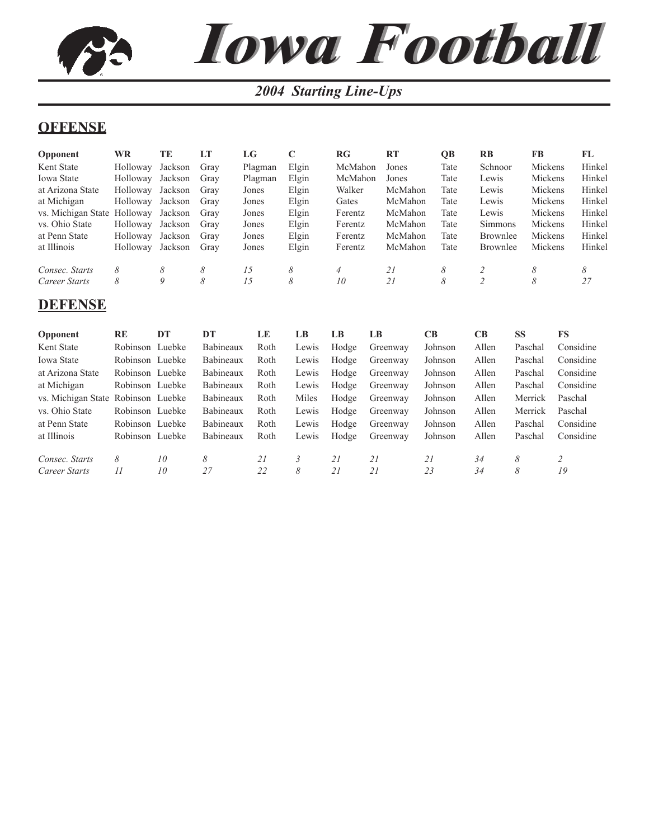# *Iowa Football Iowa Football2004 Starting Line-Ups*

### **OFFENSE**

| <b>Opponent</b>    | <b>WR</b> | TE      | LT   | LG      |       | RG             | <b>RT</b> | <b>OB</b> | RB             | <b>FB</b> | FL     |
|--------------------|-----------|---------|------|---------|-------|----------------|-----------|-----------|----------------|-----------|--------|
| Kent State         | Holloway  | Jackson | Gray | Plagman | Elgin | McMahon        | Jones     | Tate      | Schnoor        | Mickens   | Hinkel |
| Iowa State         | Holloway  | Jackson | Grav | Plagman | Elgin | McMahon        | Jones     | Tate      | Lewis          | Mickens   | Hinkel |
| at Arizona State   | Holloway  | Jackson | Grav | Jones   | Elgin | Walker         | McMahon   | Tate      | Lewis          | Mickens   | Hinkel |
| at Michigan        | Holloway  | Jackson | Grav | Jones   | Elgin | Gates          | McMahon   | Tate      | Lewis          | Mickens   | Hinkel |
| vs. Michigan State | Holloway  | Jackson | Grav | Jones   | Elgin | Ferentz        | McMahon   | Tate      | Lewis          | Mickens   | Hinkel |
| vs. Ohio State     | Holloway  | Jackson | Grav | Jones   | Elgin | Ferentz        | McMahon   | Tate      | <b>Simmons</b> | Mickens   | Hinkel |
| at Penn State      | Holloway  | Jackson | Grav | Jones   | Elgin | Ferentz        | McMahon   | Tate      | Brownlee       | Mickens   | Hinkel |
| at Illinois        | Holloway  | Jackson | Grav | Jones   | Elgin | Ferentz        | McMahon   | Tate      | Brownlee       | Mickens   | Hinkel |
| Consec. Starts     | 8         | 8       | 8    | 15      | 8     | $\overline{4}$ | 21        | 8         |                | 8         | 8      |
| Career Starts      | 8         | 9       | 8    | 15      | 8     | 10             | 21        | 8         | 2              | 8         | 27     |

### **DEFENSE**

| <b>Opponent</b>                    | RE              | DT | DТ               | LE   | LB    | LB    | LB       | CB.     | <b>CB</b> | SS      | FS        |
|------------------------------------|-----------------|----|------------------|------|-------|-------|----------|---------|-----------|---------|-----------|
| Kent State                         | Robinson Luebke |    | Babineaux        | Roth | Lewis | Hodge | Greenway | Johnson | Allen     | Paschal | Considine |
| <b>Iowa State</b>                  | Robinson Luebke |    | <b>Babineaux</b> | Roth | Lewis | Hodge | Greenway | Johnson | Allen     | Paschal | Considine |
| at Arizona State                   | Robinson Luebke |    | Babineaux        | Roth | Lewis | Hodge | Greenway | Johnson | Allen     | Paschal | Considine |
| at Michigan                        | Robinson Luebke |    | Babineaux        | Roth | Lewis | Hodge | Greenway | Johnson | Allen     | Paschal | Considine |
| vs. Michigan State Robinson Luebke |                 |    | Babineaux        | Roth | Miles | Hodge | Greenway | Johnson | Allen     | Merrick | Paschal   |
| vs. Ohio State                     | Robinson Luebke |    | Babineaux        | Roth | Lewis | Hodge | Greenway | Johnson | Allen     | Merrick | Paschal   |
| at Penn State                      | Robinson Luebke |    | Babineaux        | Roth | Lewis | Hodge | Greenway | Johnson | Allen     | Paschal | Considine |
| at Illinois                        | Robinson Luebke |    | Babineaux        | Roth | Lewis | Hodge | Greenway | Johnson | Allen     | Paschal | Considine |
| Consec. Starts                     | 8               | 10 | 8                | 21   | 3     | 21    | 21       | 21      | 34        | 8       |           |
| Career Starts                      | $\overline{11}$ | 10 | 27               | 22   | 8     | 21    | 21       | 23      | 34        | 8       | 19        |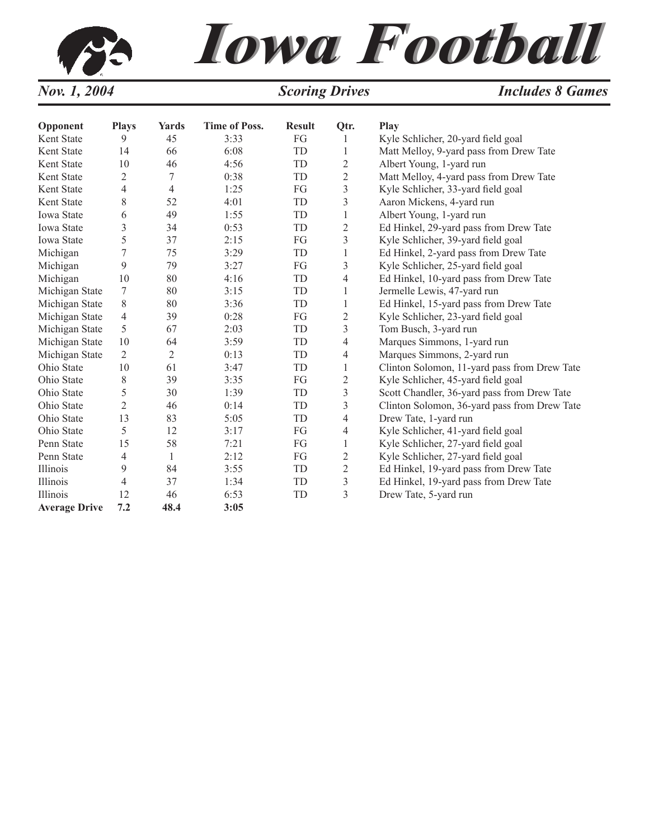# *Iowa Football Iowa Football Nov. 1, 2004 Scoring Drives Includes 8 Games*

| Opponent             | <b>Plays</b>   | <b>Yards</b>   | <b>Time of Poss.</b> | <b>Result</b> | Qtr.                    | <b>Play</b>                                  |
|----------------------|----------------|----------------|----------------------|---------------|-------------------------|----------------------------------------------|
| Kent State           | 9              | 45             | 3:33                 | FG            | 1                       | Kyle Schlicher, 20-yard field goal           |
| Kent State           | 14             | 66             | 6:08                 | TD            | 1                       | Matt Melloy, 9-yard pass from Drew Tate      |
| Kent State           | 10             | 46             | 4:56                 | TD            | $\overline{2}$          | Albert Young, 1-yard run                     |
| Kent State           | 2              | 7              | 0:38                 | TD            | $\overline{2}$          | Matt Melloy, 4-yard pass from Drew Tate      |
| Kent State           | $\overline{4}$ | 4              | 1:25                 | FG            | $\overline{\mathbf{3}}$ | Kyle Schlicher, 33-yard field goal           |
| Kent State           | 8              | 52             | 4:01                 | TD            | 3                       | Aaron Mickens, 4-yard run                    |
| <b>Iowa State</b>    | 6              | 49             | 1:55                 | TD            | 1                       | Albert Young, 1-yard run                     |
| Iowa State           | 3              | 34             | 0:53                 | TD            | $\overline{2}$          | Ed Hinkel, 29-yard pass from Drew Tate       |
| Iowa State           | 5              | 37             | 2:15                 | FG            | 3                       | Kyle Schlicher, 39-yard field goal           |
| Michigan             | 7              | 75             | 3:29                 | TD            | 1                       | Ed Hinkel, 2-yard pass from Drew Tate        |
| Michigan             | 9              | 79             | 3:27                 | FG            | $\overline{\mathbf{3}}$ | Kyle Schlicher, 25-yard field goal           |
| Michigan             | 10             | 80             | 4:16                 | TD            | 4                       | Ed Hinkel, 10-yard pass from Drew Tate       |
| Michigan State       | 7              | 80             | 3:15                 | TD            | 1                       | Jermelle Lewis, 47-yard run                  |
| Michigan State       | 8              | 80             | 3:36                 | TD            | 1                       | Ed Hinkel, 15-yard pass from Drew Tate       |
| Michigan State       | $\overline{4}$ | 39             | 0:28                 | FG            | $\overline{2}$          | Kyle Schlicher, 23-yard field goal           |
| Michigan State       | 5              | 67             | 2:03                 | TD            | 3                       | Tom Busch, 3-yard run                        |
| Michigan State       | 10             | 64             | 3:59                 | TD            | $\overline{4}$          | Marques Simmons, 1-yard run                  |
| Michigan State       | $\overline{2}$ | $\overline{2}$ | 0:13                 | TD            | 4                       | Marques Simmons, 2-yard run                  |
| Ohio State           | 10             | 61             | 3:47                 | TD            | 1                       | Clinton Solomon, 11-yard pass from Drew Tate |
| Ohio State           | 8              | 39             | 3:35                 | FG            | $\overline{c}$          | Kyle Schlicher, 45-yard field goal           |
| Ohio State           | 5              | 30             | 1:39                 | TD            | 3                       | Scott Chandler, 36-yard pass from Drew Tate  |
| Ohio State           | $\overline{2}$ | 46             | 0:14                 | TD            | 3                       | Clinton Solomon, 36-yard pass from Drew Tate |
| Ohio State           | 13             | 83             | 5:05                 | TD            | $\overline{4}$          | Drew Tate, 1-yard run                        |
| Ohio State           | 5              | 12             | 3:17                 | FG            | 4                       | Kyle Schlicher, 41-yard field goal           |
| Penn State           | 15             | 58             | 7:21                 | FG            | 1                       | Kyle Schlicher, 27-yard field goal           |
| Penn State           | 4              | $\mathbf{1}$   | 2:12                 | FG            | $\overline{c}$          | Kyle Schlicher, 27-yard field goal           |
| Illinois             | 9              | 84             | 3:55                 | TD            | $\overline{c}$          | Ed Hinkel, 19-yard pass from Drew Tate       |
| Illinois             | $\overline{4}$ | 37             | 1:34                 | TD            | $\mathfrak{Z}$          | Ed Hinkel, 19-yard pass from Drew Tate       |
| <b>Illinois</b>      | 12             | 46             | 6:53                 | TD            | 3                       | Drew Tate, 5-yard run                        |
| <b>Average Drive</b> | 7.2            | 48.4           | 3:05                 |               |                         |                                              |